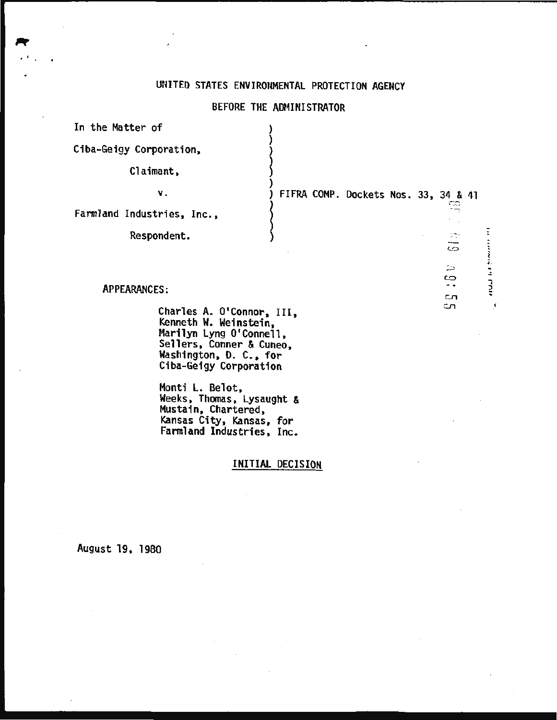## UNITED STATES ENVIRONMENTAL PROTECTION AGENCY

## BEFORE THE ADMINISTRATOR

| In the Matter of                                                                                                                                              |                                      |                                     |
|---------------------------------------------------------------------------------------------------------------------------------------------------------------|--------------------------------------|-------------------------------------|
| Ciba-Geigy Corporation,                                                                                                                                       |                                      |                                     |
| Claimant,                                                                                                                                                     |                                      |                                     |
| Υ.                                                                                                                                                            | FIFRA COMP. Dockets Nos. 33, 34 & 41 |                                     |
| Farmland Industries, Inc.,                                                                                                                                    |                                      |                                     |
| Respondent.                                                                                                                                                   |                                      | 774<br>CO                           |
| <b>APPEARANCES:</b>                                                                                                                                           |                                      | inned title<br>ДB.<br>ఴ<br>- -<br>ு |
| Charles A. O'Connor, III,<br>Kenneth W. Weinstein,<br>Marilyn Lyng O'Connell,<br>Sellers, Conner & Cuneo,<br>Washington, D. C., for<br>Ciba-Geigy Corporation |                                      | $\cdot$ <sup>1</sup><br>ി           |
| Monti L. Belot,<br><b>Weeks, Thomas, Lysaught &amp;</b>                                                                                                       |                                      |                                     |

Weeks, Thomas, Lysaught & Mustain, Chartered, Kansas City, Kansas, for Farmland Industries, Inc.

 $\mathbf{r}$ 

## INITIAL DECISION

August 19, 1980

. .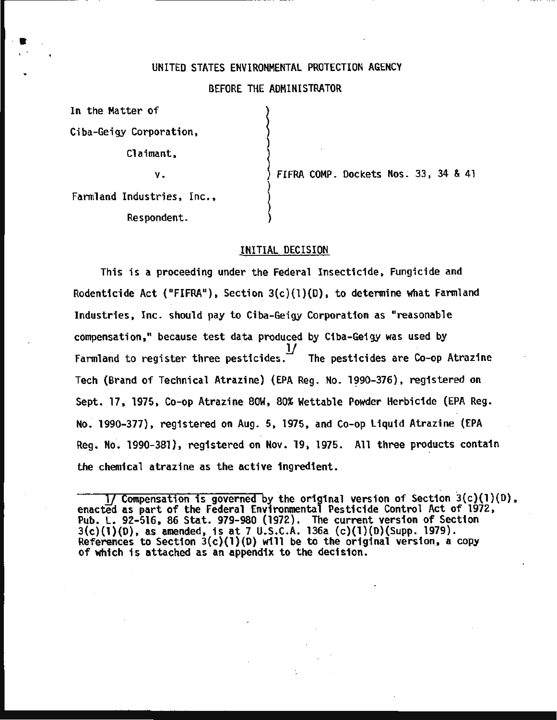#### UNITED STATES ENVIRONMENTAL PROTECTION AGENCY

#### BEFORE THE ADMINISTRATOR

 $\left\{\begin{array}{c} \begin{array}{c} \begin{array}{c} \end{array}\\ \begin{array}{c} \end{array}\\ \begin{array}{c} \end{array}\\ \begin{array}{c} \end{array}\\ \begin{array}{c} \end{array}\\ \begin{array}{c} \end{array}\\ \begin{array}{c} \end{array}\\ \begin{array}{c} \end{array}\\ \begin{array}{c} \end{array}\\ \begin{array}{c} \end{array}\\ \begin{array}{c} \end{array}\\ \begin{array}{c} \end{array}\\ \begin{array}{c} \end{array}\\ \begin{array}{c} \end{array}\\ \begin{array}{c} \end{array}\\ \begin{array}{c} \end{array}\\ \begin{array}{c} \end{array$ 

)

)

 $\mathcal{E}$ 

In the Matter of

·•

Ciba-Geigy Corporation,

Claimant,

-------------------- --~-· · -- -· ..

v.

FIFRA COMP. Dockets Nos. 33, 34 & 41

Farmland Industries, Inc., Respondent.

#### INITIAL DECISION

This is a proceeding under the Federal Insecticide, Fungicide and Rodenticide Act ("FIFRA"), Section  $3(c)(1)(D)$ , to determine what Farmland Industries, Inc. should pay to Ciba-Geigy Corporation as "reasonable compensation," because test data produced by Ciba-Geigy was used by ...<br> $\frac{1}{4}$  The pesticides are Co-op Atrazine Farmland to register three pesticides. Tech (Brand of Technical Atrazine) (EPA Reg. No. 1990-376), registered on Sept. 17, 1975, Co-op Atrazine SOW, 80% Wettable Powder Herbicide (EPA Reg. No. 1990-377), registered on Aug. 5, 1975, and Co-op Liquid Atrazine (EPA Reg. No. 1990-381), registered on Nov. 19, 1975. All three products contain the chemical atrazine as the active ingredient.

<sup>1/</sup> Compensation is governed by the original version of Section 3(c)(l)(D), enacted as part of the Federal Environmental Pesticide Control Act of 1972, Pub. L. 92-516, 86 Stat. 979-980 (1972). The current version of Section  $3(c)(1)(D)$ , as amended, is at 7 U.S.C.A. 136a (c)(1)(D)(Supp. 1979).<br>References to Section 3(c)(1)(D) will be to the original version, a copy of which is attached as an appendix to the decision.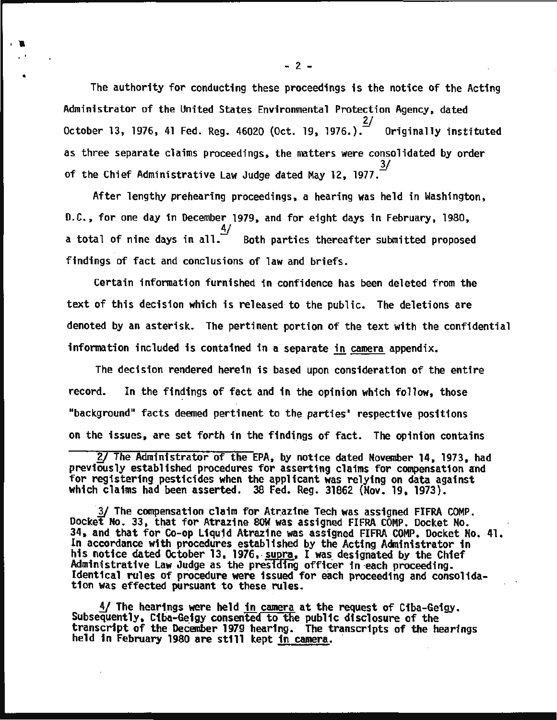The authority for conducting these proceedings is the notice of the Acting Administrator of the United States Environmental Protection Agency, dated 0ctober 13, 1976, 41 Fed. Reg. 46020 (Oct. 19, 1976.). Originally instituted as three separate claims proceedings, the matters were consolidated by order of the Chief Administrative Law Judge dated May 12, 1977.  $\frac{3}{2}$ 

. ...

•

After lengthy prehearing proceedings, a hearing was held in Washington, D.C., for one day in December 1979, and for eight days in February, 1980, 4/ a total of nine days in all.  $\overline{a}$  Both parties thereafter submitted proposed findings of fact and conclusions of law and briefs.

Certain information furnished in confidence has been deleted from the text of this decision which is released· to the public. The deletions are denoted by an asterisk. The pertinent portion of the text with the confidential information included is contained in a separate in camera appendix.

The decision rendered herein is based upon consideration of the entire record. In the findings of fact and in the opinion which follow, those "background" facts deemed pertinent to the parties' respective positions on the issues, are set forth in the findings of fact. The opinion contains

3/ The compensation claim for Atrazine Tech was assigned FIFRA COMP. Docket No. 33, that for Atrazine SOW was assigned FIFRA COMP. Docket No. 34, and that for Co-op Liquid Atrazine was assigned FIFRA COMP. Docket No. 41. In accordance with procedures established by the Acting Administrator in his notice dated October 13, 1976, supra, I was designated by the Chief<br>Administrative Law Judge as the presiding officer in each proceeding. Identical rules of procedure were issued for each proceeding and consolidation was effected pursuant to these rules.

 $\frac{4}{$  The hearings were held <u>in camera</u> at the request of Ciba-Geigy.<br>Subsequently, Ciba-Geigy consented to the public disclosure of the transcript of the December 1979 hearing. The transcripts of the hearings held in February 1980 are still kept in camera.

*gJ* The Administrator Of the EPA, by notice dated November 14, 1973, had previously established procedures for asserting claims for compensation and for registering pesticides when the applicant was relying on data against which claims had been asserted. 38 Fed. Reg. 31862 {Nov. 19, 1973).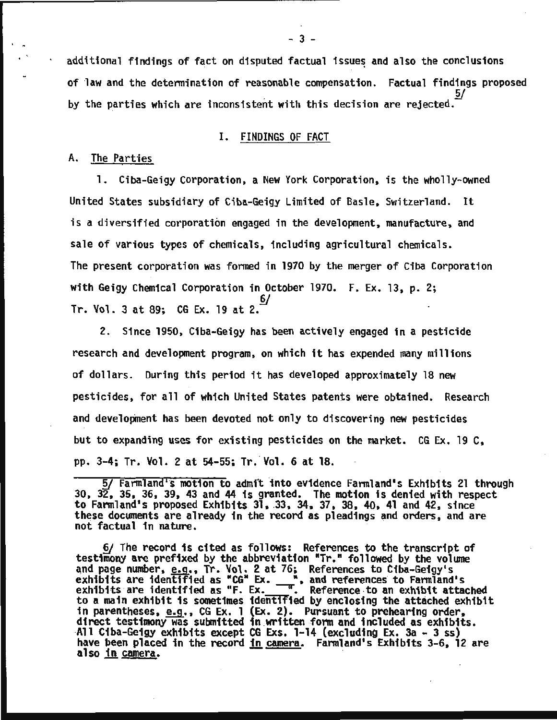additional findings of fact on disputed factual issues and also the conclusions of law and the determination of reasonable compensation. Factual findings proposed 5/ by the parties which are inconsistent with this decision are rejected.

#### I. FINDINGS OF FACT

#### A. The Parties

1. Ciba-Geigy Corporation, a New York Corporation, is the wholly-owned United States subsidiary of Ciba-Geigy Limited of Basle, Switzerland. It is a diversified corporation engaged in the development, manufacture, and sale of various types of chemicals, including agricultural chemicals. The present corporation was formed in 1970 by the merger of Ciba Corporation with Geigy Chemical Corporation in October 1970. F. Ex. 13, p. 2; §/ Tr. Vol. 3 at 89; CG Ex. 19 at 2.

2. Since 1950, Ciba-Geigy has been actively engaged in a pesticide research and development program, on which it has expended many millions of dollars. During this period it has developed approximately 18 new pesticides, for all of which United States patents were obtained. Research and development has been devoted not only to discovering new pesticides but to expanding uses for existing pesticides on the market. CG Ex. 19 C, pp. 3-4; Tr. Vol. 2 at 54-55; Tr. Vol. 6 at 18.

5/ Farmland's motion to admit into evidence Farmland's Exhibits 21 through 30, 32, 35, 36, 39, 43 and 44 is granted. The motion is denied with respect to Farmland's proposed Exhibits 31, 33, 34, 37, 38, 40, 41 and 42, since these documents are already in the record as pleadings and orders, and are not factual in nature.

6/ The record is cited as follows: References to the transcript of testimony are prefixed by the abbreviation "Tr." followed by the volume and page number,  $e.g.,$  Tr. Vol. 2 at 76; References to Ciba-Geigy's and page number, e.g., Tr. Vol. 2 at 76; References to Ciba-Geigy's exhibits are identified as "CG" Ex. ", and references to Farmland's exhibits are identified as  $F. Ex.$   $\frac{1}{\sqrt{2}}$ . Reference to an exhibit attached to a main exhibit is sometimes identlried by enclosing the attached exhibit in parentheses, e.g., CG Ex. 1 (Ex. 2). Pursuant to prehearing order,<br>direct testimony was submitted in written form and included as exhibits.<br>All Ciba-Geigy exhibits except CG Exs. 1-14 (excluding Ex. 3a - 3 ss)<br>have bee have been placed in the record <u>in camera</u>. Farmland's Exhibits 3-6, 12 are also in camera.

 $-3 -$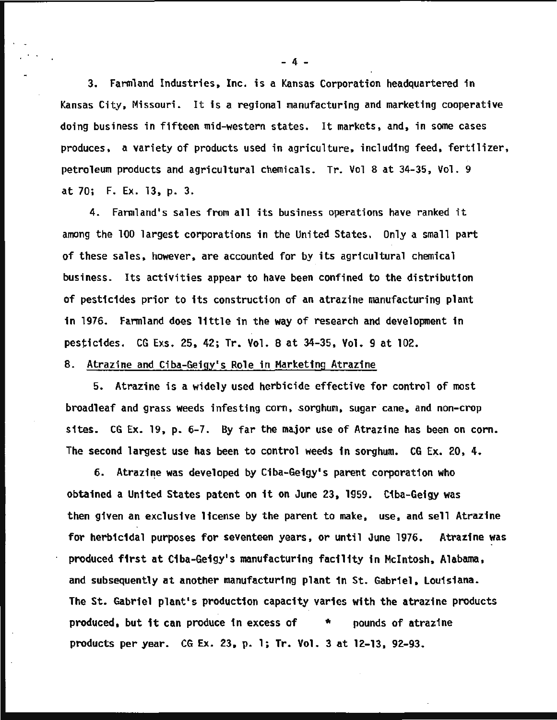3. Farmland Industries, Inc. is a Kansas Corporation headquartered in Kansas City, Missouri. It is a regional manufacturing and marketing cooperative doing business in fifteen mid-western states. It markets, and, in some cases produces, a variety of products used in agriculture, including feed, fertilizer, petroleum products and agricultural chemicals. Tr. Vol 8 at 34-35, Vol. 9 at 70; F. Ex. 13, p. 3.

4. Farmland's sales from all its business operations have ranked it among the 100 largest corporations in the United States. Only a small part of these sales, however, are accounted for by its agricultural chemical business. Its activities appear to have been confined to the distribution of pesticides prior to its construction of an atrazine manufacturing plant in 1976. Farmland does little in the way of research and development in pesticides. CG Exs. 25, 42; Tr. Vol. 8 at 34-35, Vol. 9 at 102.

#### B. Atrazine and Ciba-Geigy's Role in Marketing Atrazine

5. Atrazine is a widely used herbicide effective for control of most broadleaf and grass weeds infesting corn, sorghum, sugar cane, and non-crop sites. CG Ex. 19, p. 6-7. By far the major use of Atrazine has been on corn. The second largest use has been to control weeds in sorghum. CG Ex. 20, 4.

6. Atrazine was developed by Ciba-Geigy's parent corporation who obtained a United States patent on it on June 23, 1959. Ciba-Geigy was then given an exclusive license by the parent to make, use, and sell Atrazine for herbicidal purposes for seventeen years, or until June 1976. Atrazine was produced first at Ciba-Geigy's manufacturing facility in Mcintosh, Alabama, and subsequently at another manufacturing plant in St. Gabriel, Louisiana. The St. Gabriel plant's production capacity varies with the atrazine products produced. but it can produce in excess of \* pounds of atrazine products per year. CG Ex. 23. p. 1; Tr. Vol. 3 at 12-13, 92-93.

- 4 -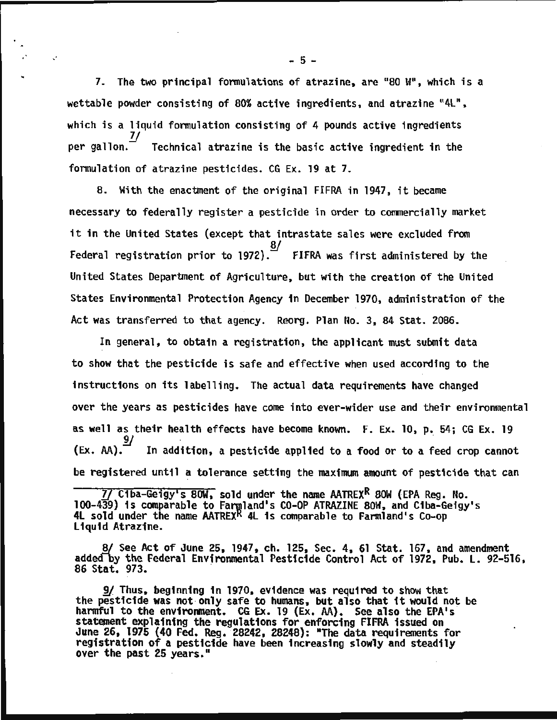7. The two principal formulations of atrazine, are  $"80 W"$ , which is a wettable powder consisting of 80% active ingredients, and atrazine "4L", which is a liquid formulation consisting of 4 pounds active ingredients  $per$  dallon. $^-$ Technical atrazine is the basic active ingredient in the formulation of atrazine pesticides. CG Ex. 19 at 7.

S. With the enactment of the original FIFRA in 1947, it became necessary to federally register a pesticide in order to commercially market it in the United States {except that intrastate sales were excluded from  $\overline{8}/$ Federal registration prior to 1972).  $\tilde{F}$  FIFRA was first administered by the United States Department of Agriculture, but with the creation of the United States Environmental Protection Agency in December 1970, administration of the Act was transferred to that agency. Reorg. Plan No. 3, S4 Stat. 2086.

In general, to obtain a registration, the applicant must submit data to show that the pesticide is safe and effective when used according to the instructions on its labelling. The actual data requirements have changed over the years as pesticides have come into ever-wider use and their environmental as well as their health effects have become known. F. Ex. 10, p. 54; CG Ex. 19 In addition, a pesticide applied to a food or to a feed crop cannot be registered until a tolerance setting the maximum amount of pesticide that can

*1/* Ciba-Geigy1s SOW, sold under the name AATREXR SOW (EPA Reg. No. 100-439) is comparable to Farmland's CO-OP ATRAZINE 80W, and Ciba-Geigy's<br>4L sold under the name AATREX<sup>R</sup> 4L is comparable to Farmland's Co-op<br>Liquid Atrazine.

S/ See Act of June 25, 1947, ch. 125, Sec. 4, 61 Stat. 167, and amendment added by the Federal Environmental Pesticide Control Act of 1972, Pub. L. 92-516, 86 Stat. 973.

9/ Thus, beginning in 1970, evidence was required to show that the pesticide was not-only safe to humans, but also that 1t would not be harmful to the environment. CG Ex. 19 (Ex. AA). See also the EPA's statement explaining the regulations for enforcing FIFRA issued on June 26, 1975 (40 Fed. Reg. 28242, 28248): "The data requirements for registration of a pesticide have been increasing slowly and steadily over the past 25 years."

- 5 -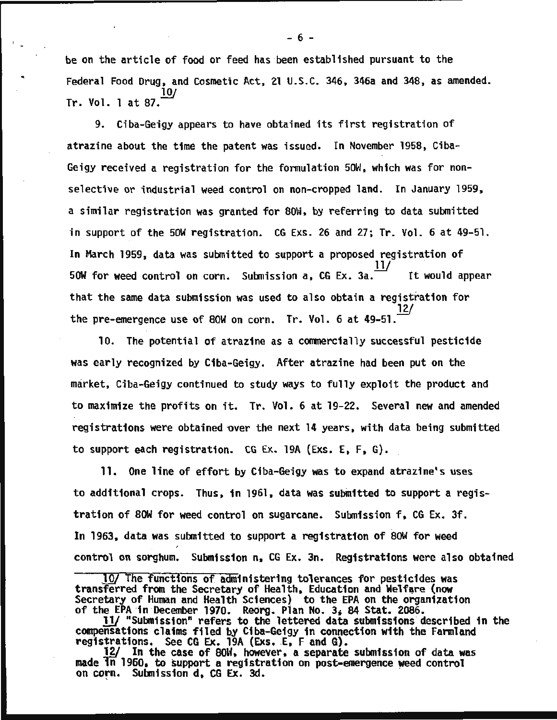be on the article of food or feed has been established pursuant to the Federal Food Drug, and Cosmetic Act, 21 U.S.C. 346, 346a and 34S, as amended.  $Tr.$  Vol. 1 at 87.

9. Ciba-Geigy appears to have obtained its first registration of atrazine about the time the patent was issued. In November 19SS, Ciba-Geigy received a registration for the formulation SOW, which was for nonselective or industrial weed control on non-cropped land. In January 19S9, a similar registration was granted for SOW, by referring to data submitted in support of the SOW registration. CG Exs. 26 and 27; Tr. Vol. 6 at 49-Sl. In March 1959, data was submitted to support a proposed registration of<br>50W for weed control on corn. Submission a, CG Ex. 3a. It would appear that the same data submission was used to also obtain a registration for the pre-emergence use of SOW on corn. Tr. Vol. 6 at 49-51. *J1j* 

10. The potential of atrazine as a commercially successful pesticide was early recognized by Ciba-Geigy. After atrazine had been put on the market, Ciba-Geigy continued to study ways to fully exploit the product and to maximize the profits on it. Tr. Vol. 6 at 19-22. Several new and amended registrations were obtained over the next 14 years, with data being submitted to support each registration. CG Ex. 19A (Exs. E, F, G).

11. One line of effort by Ciba-Geigy was to expand atrazine•s uses to additional crops. Thus, in 1961, data was submitted to support a registration of 80W for weed control on sugarcane. Submission f, CG Ex. 3f. In 1963, data was submitted to support a registration of SOW for weed control on sorghum. Submission n, CG Ex. 3n. Registrations were also obtained

- 6 -

<sup>10/</sup> The functions of administering tolerances for pesticides was transferred from the Secretary of Health, Education and Welfare (now transferred from the Secretary of Health, Education and Welfare (now Secretary of Human and Health Sciences) to the EPA on the organization

of the EPA in December 1970. Reorg. Plan No. 3, 84 Stat. 2086.<br>11/ "Submission" refers to the lettered data submissions described in the compensations claims filed by Ciba-Geigy in connection with the Farmland registrations. See CG Ex. 19A (Exs. E, F and G).

<sup>12/</sup> In the case of 80W, however, a separate submission of data was made  $\overline{1n}$  1960, to support a registration on post-emergence weed control on corn. Submission d, CG Ex. 3d.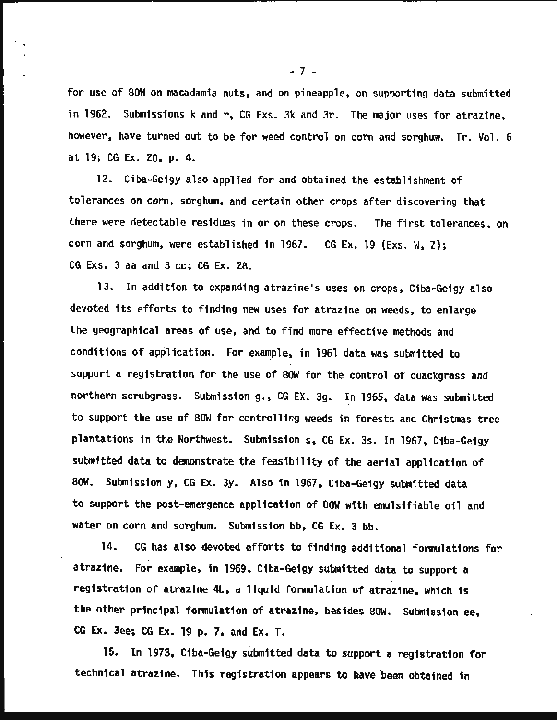for use of SOW on macadamia nuts, and on pineapple, on supporting data submitted in 1962. Submissions k and r, CG Exs. 3k and 3r. The major uses for atrazine, however, have turned out to be for weed control on corn and sorghum. Tr. Vol. 6 at 19; CG Ex. 20, p. 4.

12. Ciba-Geigy also applied for and obtained the establishment of tolerances on corn, sorghum, and certain other crops after discovering that there were detectable residues in or on these crops. The first tolerances, on corn and sorghum, were established in 1967.  $CG Ex. 19 (Exs. W, Z);$ CG Exs. 3 aa and 3 cc; CG Ex. 2S.

13. In addition to expanding atrazine's uses on crops, Ciba-Geigy also devoted its efforts to finding new uses for atrazine on weeds, to enlarge the geographical areas of use, and to find more effective methods and conditions of application. For example, in 1961 data was submitted to support a registration for the use of SOW for the control of quackgrass and northern scrubgrass. Submission g., CG EX. 3g. In 1965, data was submitted to support the use of SOW for controlling weeds in forests and Christmas tree plantations in the Northwest. Submission s, CG Ex. 3s. In 1967, Ciba-Geigy submitted data to demonstrate the feasibility of the aerial application of SOW. Submission y, CG Ex. 3y. Also in 1967, C1ba-Ge1gy submitted data to support the post-emergence application of SOW with emulsifiable oil and water on corn and sorghum. Submission bb, CG Ex. 3 bb.

14. CG has also devoted efforts to finding additional formulations for atrazine. For example, in 1969, Ciba-Geigy submitted data to support a registration of atrazine 4L, a liquid formulation of atrazine, which is the other principal formulation of atrazine, besides SOW. Submission ee, CG Ex. 3ee; CG Ex. 19 p. 7, and Ex. T.

15. In 1973, Ciba-Geigy submitted data to support a registration for technical atrazine. This registration appears to have been obtained in

- 7 -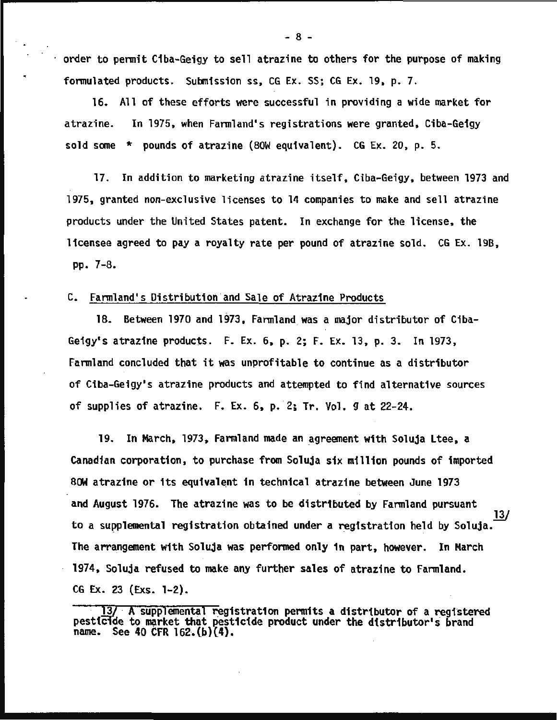order to permit Ciba-Geigy to sell atrazine to others for the purpose of making formulated products. Submission ss, CG Ex. SS; CG Ex. 19, p. 7.

16. All of these efforts were successful in providing a wide market for atrazine. In 1975, when Farmland's registrations were granted, Ciba-Geigy sold some \* pounds of atrazine (SOW equivalent). CG Ex. 20, p. 5.

17. In addition to marketing atrazine itself, Ciba-Geigy, between 1973 and 1975, granted non-exclusive licenses to 14 companies to make and sell atrazine products under the United States patent. In exchange for the license, the licensee agreed to pay a royalty rate per pound of atrazine sold. CG Ex. 198, pp. 7-S.

#### C. Farmland's Distribution and Sale of Atrazine Products

18. Between 1970 and 1973, Farmland was a major distributor of Ciba-Geigy's atrazine products. F. Ex. 6, p. 2; F. Ex. 13, p. 3. In 1973, Farmland concluded that it was unprofitable to continue as a distributor of Ciba-Geigy's atrazine products and attempted to find alternative sources of supplies of atrazine.  $F. Ex. 6$ , p. 2; Tr. Vol. 9 at 22-24.

19. In March, 1973, Farmland made an agreement with Soluja Ltee, a canadian corporation, to purchase from Soluja six million pounds of imported 80W atrazine or its equivalent in technical atrazine between June 1973 and August 1976. The atrazine was to be distributed by Farmland pursuant to a supplemental registration obtained under a registration held by Soluja. The arrangement with Soluja was performed only in part, however. In March 1974, Soluja refused to make any further sales of atraztne to Farmland. CG Ex. 23 (Exs. 1-2). 13/

 $-8 -$ 

<sup>13/</sup> A supplemental registration permits a distributor of a registered pesticide to market that pesticide product under the distributor's brand name. See 40 CFR  $162.(b)(4)$ .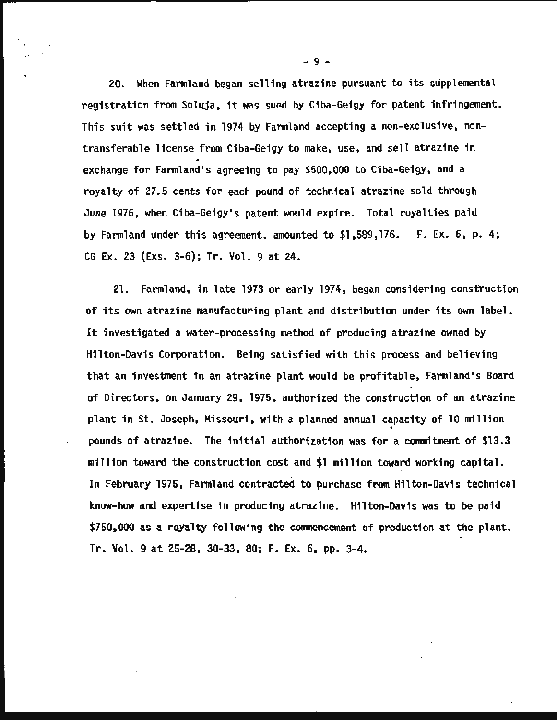20. When Farmland began selling atrazine pursuant to its supplemental registration from Soluja, it was sued by Ciba-Ge1gy for patent infringement. This suit was settled in 1974 by Farmland accepting a non-exclusive, nontransferable license from Ciba-Geigy to make, use, and sell atrazine in exchange for Farmland's agreeing to pay \$500,000 to Ciba-Geigy, and a royalty of 27.5 cents for each pound of technical atrazine sold through June 1976, when Ciba-Geigy•s patent would expire. Total royalties paid by Farmland under this agreement. amounted to \$1,589,176. F. Ex. 6, p. 4; CG Ex. 23 (Exs. 3-6); Tr. Vol. 9 at 24.

21. Farmland, in late 1973 or early 1974, began considering construction of its own atrazine manufacturing plant and distribution under its own label. It investigated a water-processing method of producing atrazine owned by Hilton-Davis Corporation. Being satisfied with this process and believing that an investment tn an atrazine plant would be profitable, Farmland's Board of Directors, on January 29, 1975, authorized the construction of an atrazine plant in St. Joseph, Missouri, with a planned annual capacity of 10 million . pounds of atrazine. The initial authorization was for a commitment of \$13.3 million toward the construction cost and \$1 million toward working capital. In February 1975, Farmland contracted to purchase from Hilton-Davis technical know-how and expertise in producing atrazine. Hilton-Davis was to be paid \$750,000 as a royalty following the commencement of production at the plant. Tr. Vol. 9 at 25-28, 30-33, 80; F. Ex. 6, pp. 3-4.

- 9 -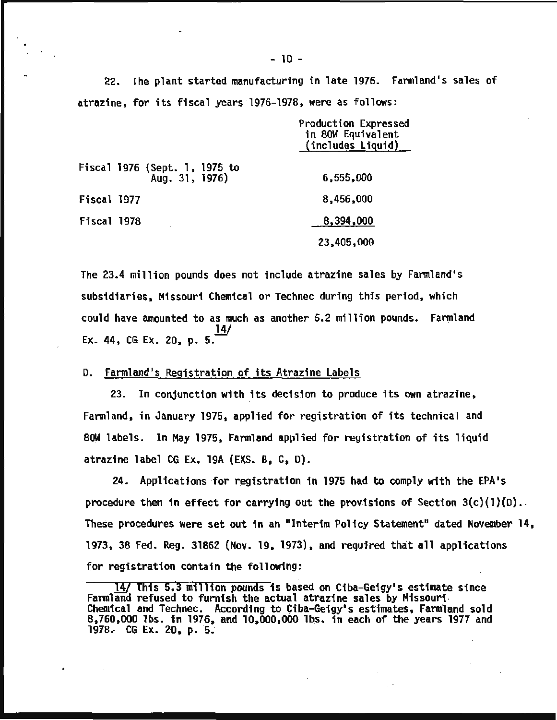22. The plant started manufacturing in late 1976. Farmland•s sales of atrazine, for its fiscal years 1976-197S, were as follows:

|                                                 | Production Expressed<br>in 80W Equivalent<br>(includes Liquid) |
|-------------------------------------------------|----------------------------------------------------------------|
| Fiscal 1976 (Sept. 1, 1975 to<br>Aug. 31, 1976) | 6,555,000                                                      |
| Fiscal 1977                                     | 8,456,000                                                      |
| Fiscal 1978                                     | 8,394,000                                                      |
|                                                 | 23,405,000                                                     |

The 23.4 million pounds does not include atrazine sales by Farmland's subsidiaries, Missouri Chemical or Technec during this period, which could have amounted to as much as another 5.2 million pounds. Farmland Ex. 44, CG Ex. 20, p. 5.

D. Farmland's Registration of its Atrazine Labels

23. In conjunction with its decisjon to produce its own atrazine, Farmland, in January 1975, applied for registration of its technical and 80W labels. In May 1975, Farmland applied for registration of its liquid atrazine label CG Ex. 19A {EXS. B, C, 0).

24. Applications for registration in 1975 had to comply with the EPA's procedure then in effect for carrying out the provisions of Section  $3(c)(1)(0)$ . These procedures were set out in an "Interim Policy Statement" dated November 14, 1973, 3S Fed. Reg. 31862 {Nov. 19, 1973), and required that all applications for registration. contain the following:

<sup>14/</sup> This 5.3 million pounds is based on Ciba-Geigy's estimate since<br>Farmland refused to furnish the actual atrazine sales by Missouri Farmland refused to furnish the actual atrazine sales by Missouri · Chemical and Technec. According to Ciba-Geigy's estimates, Farmland sold 8,760,000 lbs. in 1976, and 10,000,000 lbs. in each of the years 1977 and 1978.· CG Ex. 20, p. 5;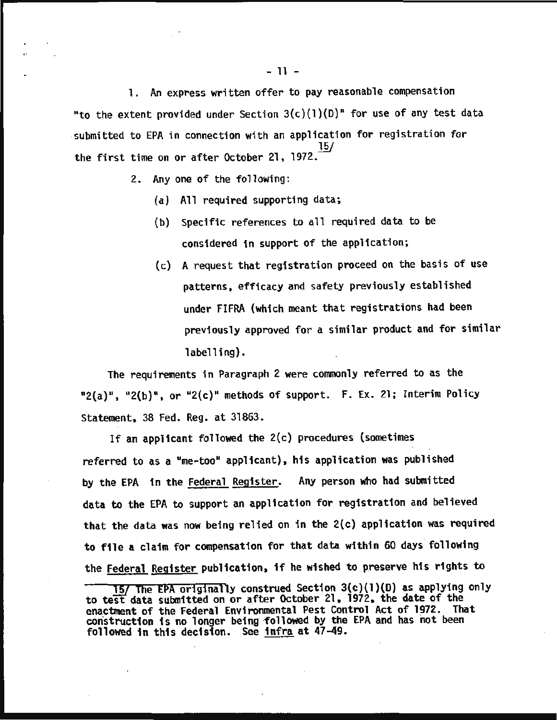1. An express written offer to pay reasonable compensation "to the extent provided under Section  $3(c)(1)(D)$ " for use of any test data submitted to EPA in connection with an application for registration for the first time on or after October 21, 1972.  $\frac{15}{10}$ 

2. Any one of the following:

(a) All required supporting data;

- (b) Specific references to all required data to be considered in support of the application;
- (c) A request that registration proceed on the basis of use patterns, efficacy and safety previously established under FIFRA (which meant that registrations had been previously approved for a similar product and for similar labelling).

The requirements in Paragraph 2 were commonly referred to as the " $2(a)$ ", " $2(b)$ ", or " $2(c)$ " methods of support. F. Ex. 21; Interim Policy Statement, 38 Fed. Reg. at 31863.

If an applicant followed the 2(c) procedures (sometimes referred to as a "me-too" applicant), his application was published by the EPA in the Federal Register. Any person who had submitted data to the EPA to support an application for registration and believed that the data was now being relied on in the 2(c) application was required to file a claim for compensation for that data within 60 days· following the Federal Register publication, if he wished to preserve his rights to

*<sup>1§1</sup>* The EPA originally construed Section 3{c){l){D) as applying only to test data submitted on or after October 21, 1972, the date of the enactment of the Federal Environmental Pest Control Act of 1972. That construction is no longer being followed by the EPA and has not been followed in this decision. See infra at 47-49.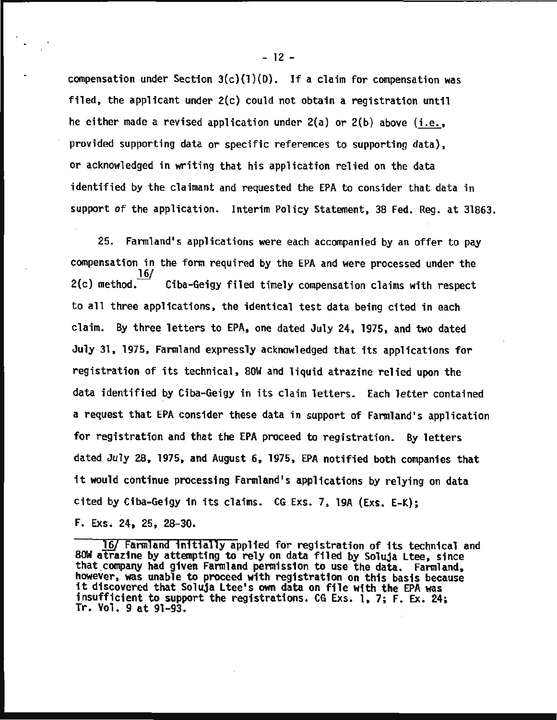compensation under Section  $3(c)(1)(D)$ . If a claim for compensation was filed, the applicant under 2(c) could not obtain a registration until he either made a revised application under 2(a) or 2(b) above (i.e., provided supporting data or specific references to supporting data), or acknowledged in writing that his application relied on the data identified by the claimant and requested the EPA to consider that data in support of the application. Interim Policy Statement, 38 Fed. Reg. at 31863.

25. Farmland's applications were each accompanied by an offer to pay compensation in the form required by the EPA and were processed under the  $2(c)$  method.  $\frac{16}{16}$ Ciba-Geigy filed timely compensation claims with respect to all three applications, the identical test data being cited in each claim. By three letters to EPA, one dated July 24, 1975, and two dated July 31, 1975, Farmland expressly acknowledged that its applications for registration of its technical, SOW and liquid atrazine relied upon the data identified by Ciba-Geigy in its claim letters. Each letter contained a request that EPA consider these data in support of Farmland's application for registration and that the EPA proceed to registration. By letters dated July 28, 1975, and August 6, 1975, EPA notified both companies that it would continue processing Farmland's applications by relying on data cited by Ciba-Geigy in its claims. CG Exs. 7, 19A (Exs. E-K); F. Exs. 24, 25, 28-30.

 $-12 -$ 

*<sup>!§{</sup>* Farmland initially applied for registration of its technical and SOW atrazine by attempting to rely on data filed by Soluja Ltee, since that company had given Farmland permission to use the data. Farmland, however, was unable to proceed with registration on this basis because it discovered that Soluja Ltee's own data on file with the EPA was insufficient to support the registrations. CG Exs. 1, 7; F. Ex. 24; Tr. Vol. 9 at 91-93.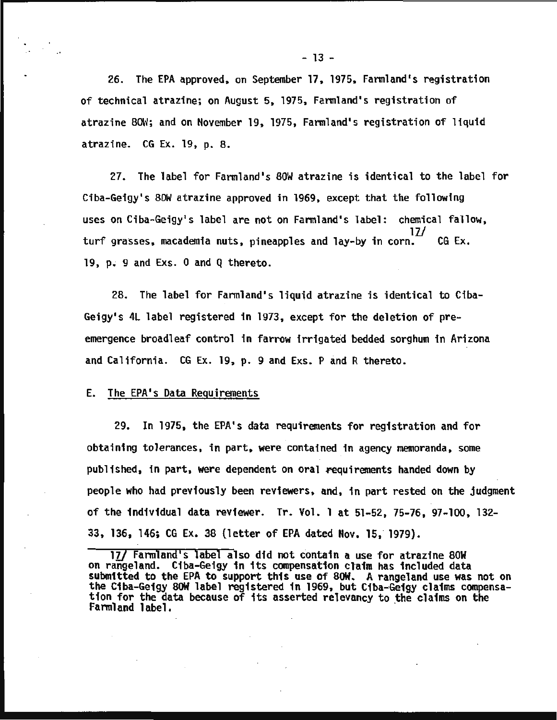26. The EPA approved. on September 17. 1975, Farmland's registration of technical atrazine; on August 5, 1975, Farmland's registration of atrazine SOH; and on November 19, 1975, Farmland's registration of liquid atrazine. CG Ex. 19, p. s.

27. The label for Farmland's SOW atrazine is identical to the label for Ciba-Geigy's SOW atrazine approved in 1969, except that the following uses on Ciba-Geigy's label are not on Farmland's label: chemical fallow, turf grasses, macademia nuts, pineapples and lay-by in corn.<sup>11</sup> CG Ex.  $19$ , p. 9 and Exs. 0 and Q thereto.

2S. The label for Farmland's liquid atrazine is identical to Ciba-Geigy's 4L label registered in 1973, except for the deletion of preemergence broadleaf control in farrow irrigated bedded sorghum in Arizona and California. CG Ex. 19, p. 9 and Exs. P and R thereto.

#### E. The EPA's Data Requirements

29. In 1975, the EPA's data requirements for registration and for obtaining tolerances, in part, were contained in agency memoranda, some published, in part, were dependent on oral requirements handed down by people who had previously been reviewers, and, in part rested on the judgment of the individual data reviewer. Tr. Vol. 1 at 51-52, 75-76, 97-100, 132- 33, 136, 146; CG Ex. 38 (letter of EPA dated Nov. 15, 1979).

<sup>17/</sup> Farmland's label also did not contain a use for atrazine 80W on rangeland. C1ba-Geigy in its compensation claim has included data submitted to the EPA to support this use of SOW. A rangeland use was not on the Ciba-Geigy 80W label registered in 1969, but Ciba-Geigy claims compensa-<br>tion for the data because of its asserted relevancy to the claims on the tion for the data because of its asserted relevancy to the claims on the Farmland label.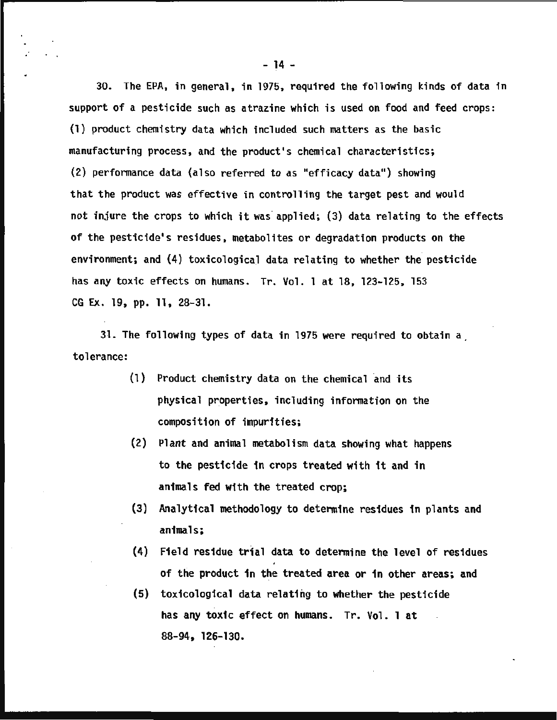30. The EPA, in general, in 1975, required the following kinds of data in support of a pesticide such as atrazine which is used on food and feed crops: (1) product chemistry data which included such matters as the basic manufacturing process, and the product's chemical characteristics; (2) performance data (also referred to as "efficacy data") showing that the product was effective in controlling the target pest and would not injure the crops to which it was· applied; (3) data relating to the effects of the pesticide's residues, metabolites or degradation products on the environment; and (4) toxicological data relating to whether the pesticide has any toxic effects on humans. Tr. Vol. 1 at 18, 123-125, 153 CG Ex. 19, pp. 11, 28-31.

31. The following types of data in 1975 were required to obtain a . tolerance:

- $(1)$  Product chemistry data on the chemical and its physical properties, including information on the composition of impurities;
- (2) Plant and animal metabolism data showing what happens to the pesticide in crops treated with it and in animals fed with the treated crop;
- (3) Analytical methodology to determine residues in plants and animals;
- (4) Field residue trial data to determine the level of residues of the product in the treated area or in other areas; and
- (5) toxicological data relating to whether the pesticide has any toxic effect on humans. Tr. Vol. 1 at 88-94, 126-130.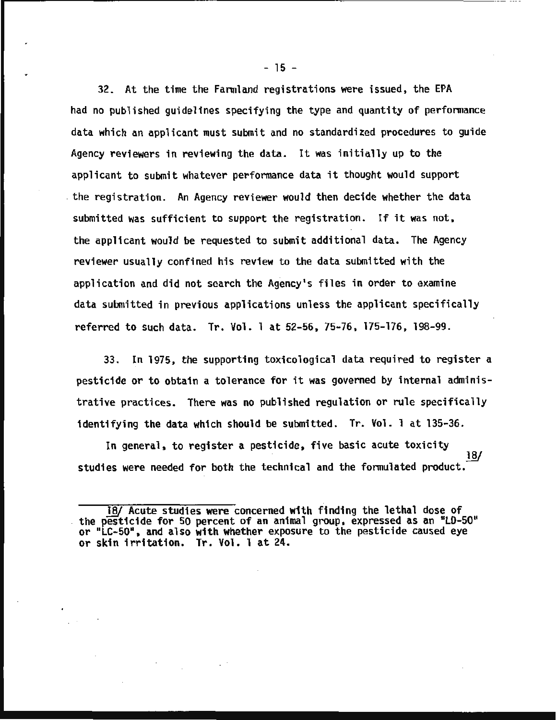32. At the time the Farmland registrations were issued, the EPA had no published guidelines specifying the type and quantity of performance data which an applicant must submit and no standardized procedures to guide Agency reviewers in reviewing the data. It was initially up to the applicant to submit whatever performance data it thought would support . the registration. An Agency reviewer would then decide whether the data submitted was sufficient to support the registration. If it was not, the applicant would be requested to submit additional data. The Agency reviewer usually confined his review to the data submitted with the application and did not search the Agency's files in order to examine data submitted in previous applications unless the applicant specifically referred to such data. Tr. Vol. 1 at 52-56, 75-76, 175-176, 198-99.

33. In 1975, the supporting toxicological data required to register a pesticide or to obtain a tolerance for it was governed by internal administrative practices. There was no published regulation or rule specifically identifying the data which should be submitted. Tr. Vol. 1 at 135•36.

In general, to register a pesticide, five basic acute toxicity  $\frac{18}{3}$ studies were needed for both the technical and the formulated product.

 $-15 -$ 

<sup>18/</sup> Acute studies were concerned with finding the lethal dose of the pesticide for 50 percent of an animal group, expressed as an "LD-50" or "LC-50", and also with whether exposure to the pesticide caused eye or skin irritation. Tr. Vol. 1 at 24.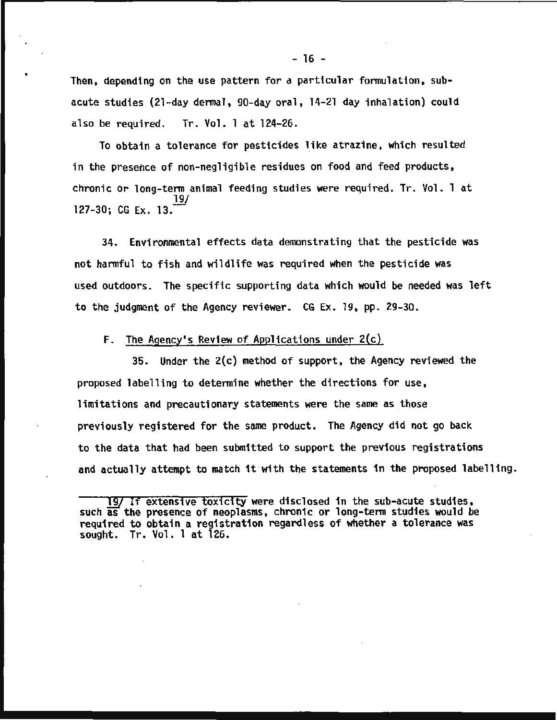Then, depending on the use pattern for a particular formulation, subacute studies (21-day dermal, 90-day oral, 14-21 day inhalation) could also be required. Tr. Vol. 1 at 124-26.

•

To obtain a tolerance for pesticides like atrazine, which resulted in the presence of non-negligible residues on food and feed products, chronic or long-term animal feeding studies were required. Tr. Vol. 1 at 19/ 127-30; CG Ex. 13.

34. Environmental effects data demonstrating that the pesticide was not harmful to fish and wildlife was required when the pesticide was used outdoors. The specific supporting data which would be needed was left to the judgment of the Agency reviewer. CG Ex. 19, pp. 29-30.

F. The Agency's Review of Applications under 2(c)

35. Under the 2(c) method of support, the Agency reviewed the proposed labelling to determine whether the directions for use, limitations and precautionary statements were the same as those previously registered for the same product. The Agency did not go back to the data that had been submitted to support the previous registrations and actually attempt to match it with the statements in the proposed labelling.

<sup>19/</sup> If extensive toxicity were disclosed in the sub-acute studies, such as the presence of neoplasms, chronic or long-term studies would be required to obtain a registration regardless of whether a tolerance was sought. Tr. Vol. 1 at 126.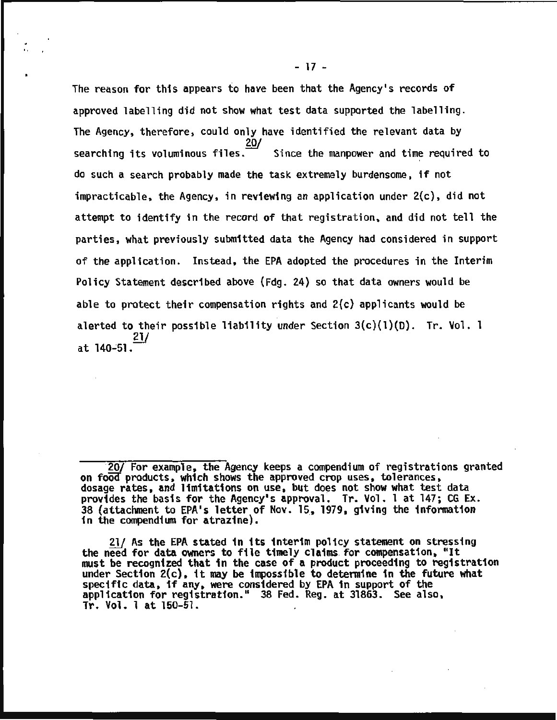The reason for this appears to have been that the Agency's records of approved labelling did not show what test data supported the labelling. The Agency, therefore, could only have identified the relevant data by searching its voluminous files. Since the manpower and time required to do such a search probably made the task extremely burdensome, if not impracticable, the Agency, in reviewing an application under 2(c), did not attempt to identify in the record of that registration, and did not tell the parties. what previously submitted data the Agency had considered in support of the application. Instead. the EPA adopted the procedures in the Interim Policy Statement described above (Fdg. 24) so that data owners would be able to protect their compensation rights and 2(c) applicants would be alerted to their possible liability under Section  $3(c)(1)(D)$ . Tr. Vol. 1  $21/$ at  $140 - 51$ .

 $21/$  As the EPA stated in its interim policy statement on stressing<br>the need for data owners to file timely claims for compensation, "It<br>must be recognized that in the case of a product proceeding to registration<br>under S specific data, if any, were considered by EPA in support of the application for registration." 38 Fed. Reg. at 31863. See also, Tr. Vol. 1 at 150-51.

<sup>20/</sup> For example, the Agency keeps a compendium of registrations granted on food products, which shows the approved crop uses, tolerances, dosage rates, and limitations on use, but does not show what test data provides the basis for the Agency's approval. Tr. Vol. 1 at 147; CG Ex. 38 (attachment to EPA's letter of Nov. 15, 1979, giving the information in the compendium for atrazine).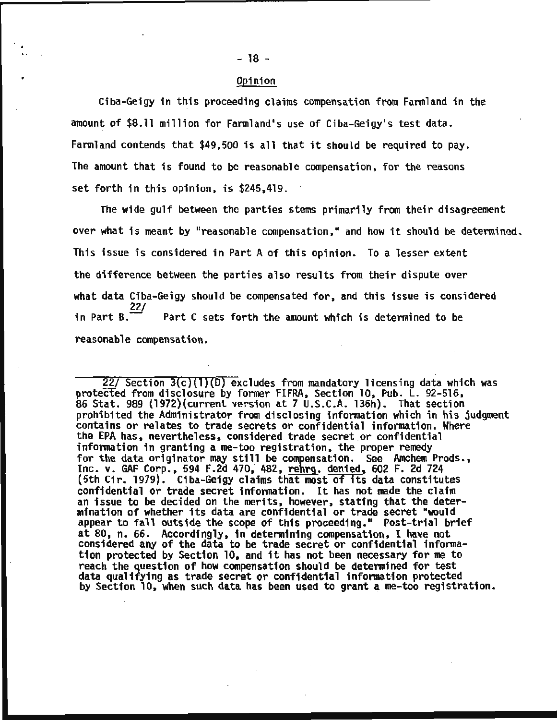#### Opinion

Ciba-Geigy in this proceeding claims compensation from Farmland in the amount of \$8.11 million for Farmland's use of Ciba-Geigy's test data. Farmland contends that \$49,500 is all that it should be required to pay. The amount that is found to be reasonable compensation, for the reasons set forth in this opinion, is \$245,419.

The wide gulf between the parties stems primarily from their disagreement over what is meant by "reasonable compensation," and how it should be determined. This issue is considered in Part A of this opinion. To a lesser extent the difference between the parties also results from their dispute over what data Ciba-Geigy should be compensated for, and this issue is considered in Part B.  $\frac{22}{ }$ Part C sets forth the amount which is determined to be reasonable compensation.

 $22/$  Section  $3(c)(1)(D)$  excludes from mandatory licensing data which was protected from disclosure by former FIFRA, Section 10, Pub. L. 92-516, 86 Stat. 989 (1972)(current version at 7 U.S.C.A. 136h). That section prohibited the Administrator from disclosing information which in his judgment contains or relates to trade secrets or confidential information. Where the EPA has, nevertheless, considered trade secret or confidential<br>information in granting a me-too registration, the proper remedy for the data originator may still be compensation. See Amchem Prods., Inc. v. GAF Corp., 594 F.2d 470, 482, rehrg. denied, 602 F. 2d 724 (5th Cir. 1979). Ciba-Geigy claims that most of its data constitutes confidential or trade secret information. It has not made the claim an issue to be decided on the merits, however, stating that the determination of whether its data are confidential or trade secret "would appear to fall outside the scope of this proceeding." Post-trial brief at 80, n. 66. Accordingly, in determining compensation, I have not considered any of the data to be trade secret or confidential information protected by Section 10, and it has not been necessary for me to reach the question of how compensation should be determined for test data qualifying as trade secret or confidential information protected<br>by Section 10, when such data has been used to grant a me-too registration.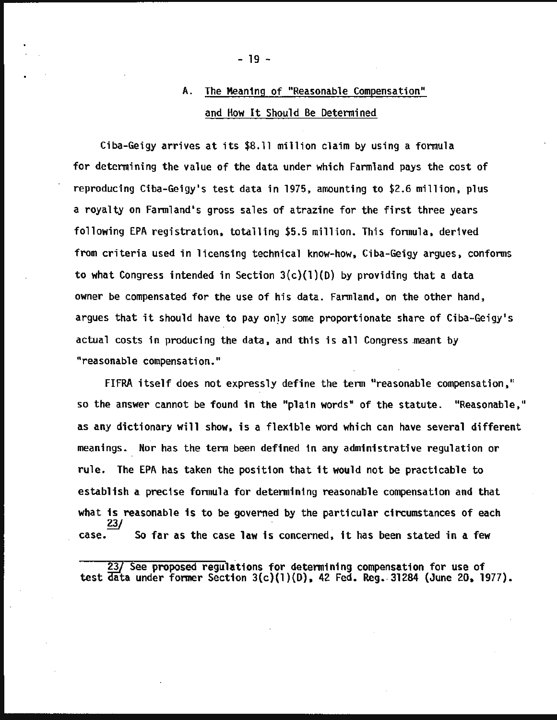# A. The Meaning of "Reasonable Compensation" and How It Should Be Determined

Ciba-Geigy arrives at its \$8.11 million claim by using a formula for determining the value of the data under which Farmland pays the cost of reproducing Ciba-Geigy's test data in 1975, amounting to \$2.6 million, plus a royalty on Farmland's gross sales of atrazine for the first three years following EPA registration, totalling \$5.5 million. This formula, derived from criteria used in licensing technical know-how, Ciba-Geigy argues, conforms to what Congress intended in Section  $3(c)(1)(D)$  by providing that a data owner be compensated for the use of his data. Farmland, on the other hand, argues that it should have to pay only some proportionate share of Ciba-Geigy's actual costs in producing the data, and this is all Congress meant by "reasonable compensation."

FIFRA itself does not expressly define the term "reasonable compensation," so the answer cannot be found in the "plain words" of the statute. "Reasonable," as any dictionary will show, is a flexible word which can have several different meanings. Nor has the term been defined in any administrative regulation or rule. The EPA has taken the position that it would not be practicable to establish a precise formula for determining reasonable compensation and that what is reasonable is to be governed by the particular circumstances of each *?:Y*  So far as the case law is concerned, it has been stated in a few

23/ See proposed regulations for determining compensation for use of test  $\overline{\text{data}}$  under former Section 3(c)(1)(D), 42 Fed. Reg. 31284 (June 20, 1977).

- 19 -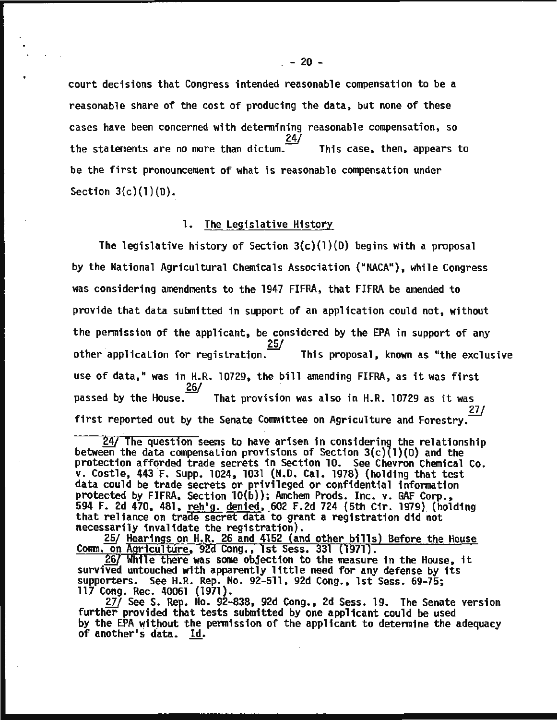court decisions that Congress intended reasonable compensation to be a reasonable share of the cost of producing the data, but none of these cases have been concerned with determining reasonable compensation, so<br>24/ the statements are no more than dictum. This case, then, appears to be the first pronouncement of what is reasonable compensation under Section  $3(c)(1)(D)$ .

#### 1. The Legislative History

The legislative history of Section  $3(c)(1)(D)$  begins with a proposal by the National Agricultural Chemicals Association ("NACA"), while Congress was considering amendments to the 1947 FIFRA, that FIFRA be amended to provide that data submitted in support of an application could not, without the permission of the applicant, be considered by the EPA in support of any other application for registration. This proposal, known as "the exclusive use of data," was in H.R. 10729, the bill amending FIFRA, as it was first<br>26/ passed by the House. That provision was also in H.R. 10729 as it was<br>27/ first reported out by the Senate Committee on Agriculture and Forestry.

 $\frac{24}{1}$  The question seems to have arisen in considering the relationship between the data compensation provisions of Section 3(c)(l)(0) and the protection afforded trade secrets in Section 10. See Chevron Chemical Co. v. Castle, 443 F. Supp. 1024, 1031 (N.D. Cal. 1978) {holding that test data could be trade secrets or privileged or confidential information protected by FIFRA, Section 10(b)); Amchem Prods. Inc. v. GAF Corp., 594 F. 2d 470, 481, reh'g. denied, 602 F.2d 724 (5th Cir. 1979) (holding that reliance on trade secret data to grant a registration did not necessarily invalidate the registration).

necessarily invalidate the registration).<br><u>*f*]V **Hearings on H.R. 26 and 4152** (and other bills) Before the House</u> <u>Comm. on Agriculture</u>, 92d Cong., 1st Sess. 331 (1971).

*g§/* While there was some objection to the measure in the House, it survived untouched with apparently little need for any defense by its supporters. See H.R. Rep. No. 92-511, 92d Cong., 1st Sess. 69-75;<br>117 Cong. Rec. 40061 (1971).

27/ See S. Rep. No. 92-838, 92d Cong., 2d Sess. 19. The Senate version further provided that tests submitted by one applicant could be used by the EPA without the permission of the applicant to determine the adequacy of another's data. Id.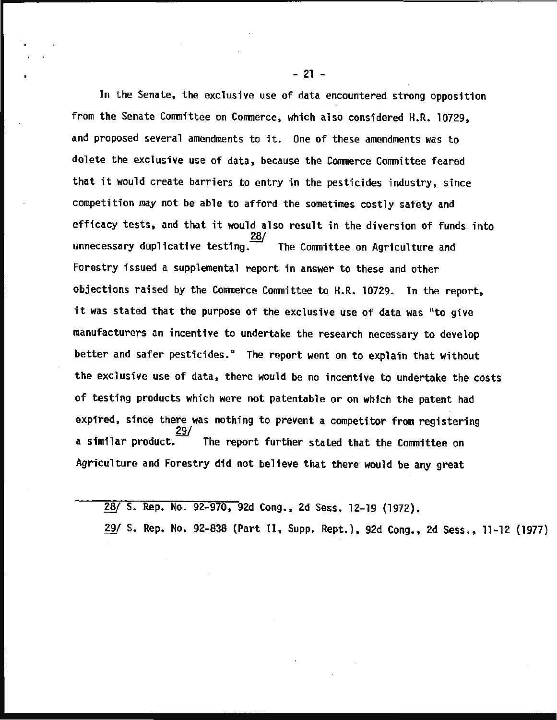In the Senate, the exclusive use of data encountered strong opposition from the Senate Committee on Commerce, which also considered H.R. 10729, and proposed several amendments to it. One of these amendments was to delete the exclusive use of data, because the Commerce Committee feared that it would create barriers to entry in the pesticides industry, since competition may not be able to afford the sometimes costly safety and efficacy tests, and that it would also result in the diversion of funds into erricacy tests, and that it would also result in the diversion of fund<br>28/<br>unnecessary duplicative testing. The Committee on Agriculture and Forestry issued a supplemental report in answer to these and other objections raised by the Commerce Committee to H.R. 10729. In the report, it was stated that the purpose of the exclusive use of data was "to give manufacturers an incentive to undertake the research necessary to develop better and safer pesticides." The report went on to explain that without the exclusive use of data, there would be no incentive to undertake the costs of testing products which were not patentable or on which the patent had expired, since there was nothing to prevent a competitor from registering<br>a similar product  $\frac{29}{100}$  The present funtion stated that the Considered a similar product. The report further stated that the Committee on Agriculture and Forestry did not believe that there would be any great

*W* S. Rep. No. 92-970, 92d Cong., 2d Sess. 12-19 (1972).

29/ S. Rep. No. 92-838 (Part II, Supp. Rept.), 92d Cong., 2d Sess., 11-12 (1977)

- 21 -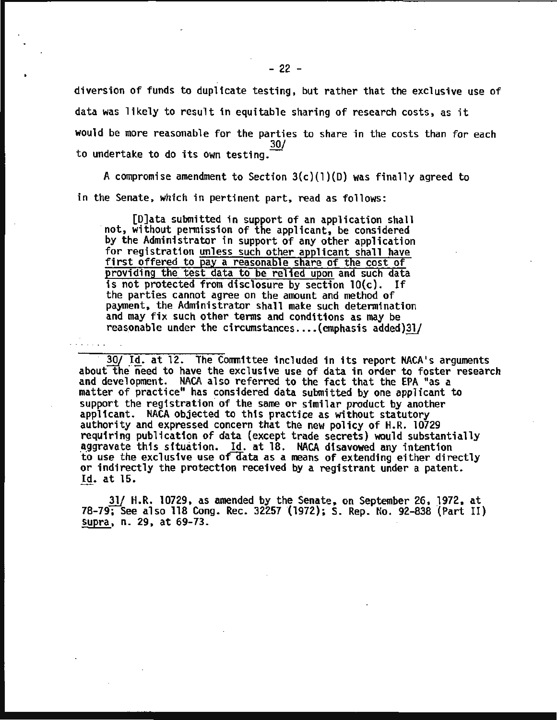diversion of funds to duplicate testing, but rather that the exclusive use of data was likely to result in equitable sharing of research costs, as it would be more reasonable for the parties to share in the costs than for each 30/ to undertake to do its own testing.

A compromise amendment to Section  $3(c)(1)(D)$  was finally agreed to in the Senate, which in pertinent part, read as follows:

[D]ata submitted in support of an application shall ·not, without permission of the applicant, be considered by the Administrator in support of any other application for registration unless such other applicant shall have first offered to pay a reasonable share of the cost of providing the test data to be relied upon and such data is not protected from disclosure by section lO(c). If the parties cannot agree on the amount and method of payment, the Administrator shall make such determination and may fix such other terms and conditions as may be reasonable under the circumstances.... (emphasis added) $31/$ 

30/ Id. at 12. The Committee included in its report NACA's arguments about the need to have the exclusive use of data in order to foster research and development. NACA also referred to the fact that the EPA "as a matter of practice" has considered data submitted by one applicant to support the registration of the same or similar product by another applicant. NACA objected to this practice as without statutory authority and expressed concern that the new policy of H.R. 10729 requiring publication of data (except trade secrets) would substantially aggravate this situation. Id. at 18. NACA disavowed any intention<br>to use the exclusive use of data as a means of extending either directly or indirectly the protection received by a registrant under a patent. Id. at 15.

 $31/$  H.R. 10729, as amended by the Senate, on September 26, 1972, at 78-79; See also 118 Cong. Rec. 32257 (1972); S. Rep. No. 92-838 (Part II) supra, n. 29, at 69-73.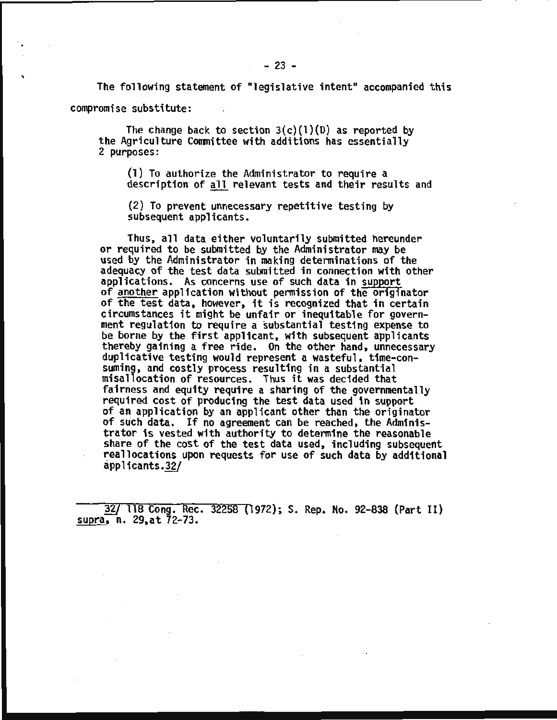The following statement of "legislative intent" accompanied this

compromise substitute:

The change back to section  $3(c)(1)(D)$  as reported by the Agriculture Committee with additions has essentially 2 purposes:

(1) To authorize the Administrator to require a description of all relevant tests and their results and

(2) To prevent unnecessary repetitive testing by subsequent applicants.

Thus, all data either voluntarily submitted hereunder or required to be submitted by the Administrator may be used by the Administrator in making determinations of the adequacy of the test data submitted in connection with other<br>applications. As concerns use of such data in support of <u>another</u> application without permission of the originator<br>of the test data, however, it is recognized that in certain circumstances it might be unfair or inequitable for government regulation to require a substantial testing expense to be borne by the first applicant, with subsequent applicants thereby gaining a free ride. On the other hand, unnecessary<br>duplicative testing would represent a wasteful, time-consuming, and costly process resulting in a substantial misallocation of resources. Thus it was decided that<br>fairness and equity require a sharing of the governmentally required cost of producing the test data used in support<br>of an application by an applicant other than the originator<br>of such data. If no agreement can be reached, the Administrator is vested with authority to determine the reasonable reallocations upon requests for use of such data by additional applicants.32/

~ 118 Cong. Rec. 32258 (1972); s. Rep. No. 92-838 (Part II)  $supta, n. 29, at 72-73.$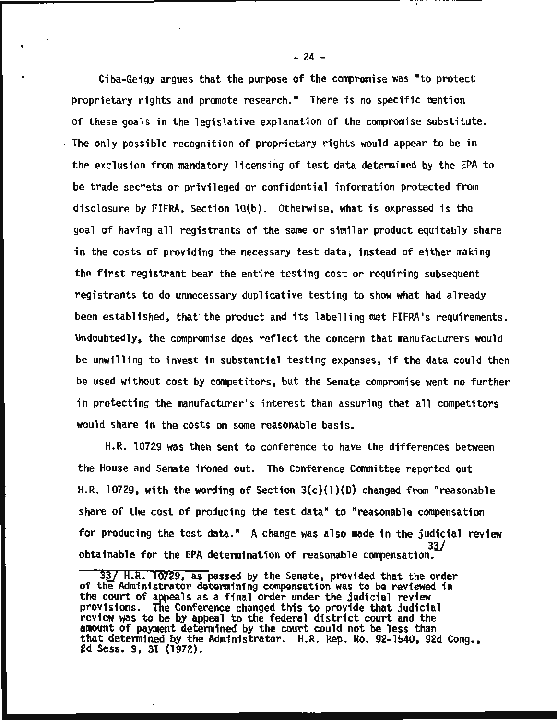Ciba-Geigy argues that the purpose of the compromise was "to protect proprietary rights and promote research." There is no specific mention of these goals in the legislative explanation of the compromise substitute. The only possible recognition of proprietary rights would appear to be in the exclusion from mandatory licensing of test data determined by the EPA to be trade secrets or privileged or confidential information protected from disclosure by FIFRA, Section lO(b}. Otherwise, what is expressed is the goal of having all registrants of the same or similar product equitably share in the costs of providing the necessary test data; instead of either making the first registrant bear the entire testing cost or requiring subsequent registrants to do unnecessary duplicative testing to show what had already been established, that the product and its labelling met FIFRA's requirements. Undoubtedly, the compromise does reflect the concern that manufacturers would be unwilling to invest in substantial testing expenses, if the data could then be used without cost by competitors, but the Senate compromise went no further in protecting the manufacturer's interest than assuring that all competitors would share in the costs on some reasonable basis.

H.R. 10729 was then sent to conference to have the differences between the House and Senate ironed out. The Conference Committee reported out H.R. 10729, with the wording of Section  $3(c)(1)(D)$  changed from "reasonable share of the cost of producing the test data" to "reasonable compensation for producing the test data." A change was also made in the judicial review *<sup>331</sup>*obtainable for the EPA determination of reasonable compensation.

 $\frac{1}{2}$  - 24 -

 $33/$  H.R. 10729, as passed by the Senate, provided that the order of the Administrator determining compensation was to be reviewed in the court of appeals as a final order under the judicial review<br>provisions. The Conference changed this to provide that judicial review was to be by appeal to the federal district court and the amount of payment determined by the court could not be less than that determined by the Administrator. H.R. Rep. No. 92-1540, 92d Cong., 2d Sess. 9, 31 (1972).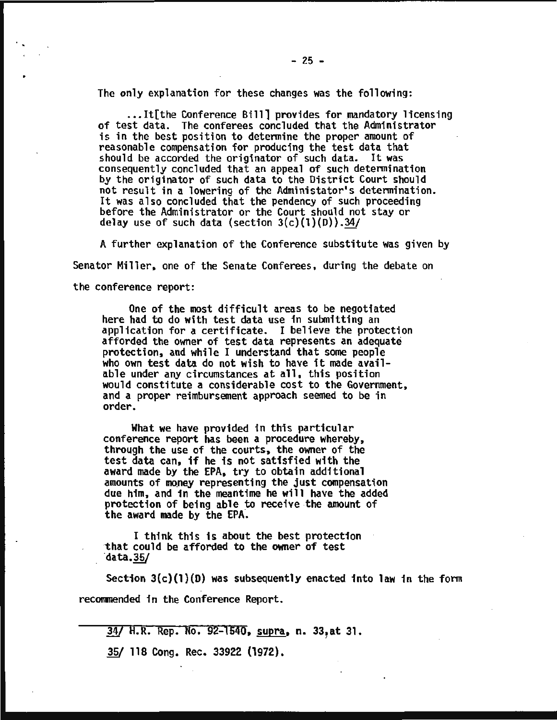The only explanation for these changes was the following:

...It[the Conference Bill] provides for mandatory licensing<br>of test data. The conferees concluded that the Administrator is in the best position to determine the proper amount of reasonable compensation for producing the test data that should be accorded the originator of such data. It was consequently concluded that an appeal of such determination by the originator of such data to the District Court should not result in a lowering of the Administator's determination. It was also concluded that the pendency of such proceeding before the Administrator or the Court should not stay or delay use of such data (section  $3(c)(1)(D)$ ).34/

A further explanation of the Conference substitute was given by Senator Miller, one of the Senate Conferees, during the debate on the conference report:

One of the most difficult areas to be negotiated here had to do with test data use in submitting an application for a certificate. I believe the protection afforded the owner of test data represents an adequate protection, and while I understand that some people who own test data do not wish to have it made avail-able un would constitute a considerable cost to the Government. and a proper reimbursement approach seemed to be in order.

What we have provided in this particular conference report has been a procedure whereby, through the use of the courts, the owner of the test data can, if he is not satisfied with the award made by the EPA, try to obtain additional amounts of money representing the just compensation<br>due him, and in the meantime he will have the added protection of being able to receive the amount of the award made by the EPA.

I think this is about the best protection<br>that could be afforded to the owner of test<br>data.35/

Section 3(c)(l)(D) was subsequently enacted into law in the form recommended in the Conference Report.

34/ H.R. Rep. No. 92-1540, supra, n. 33, at 31.

*1§1* 118 Cong. Rec. 33922 (1972).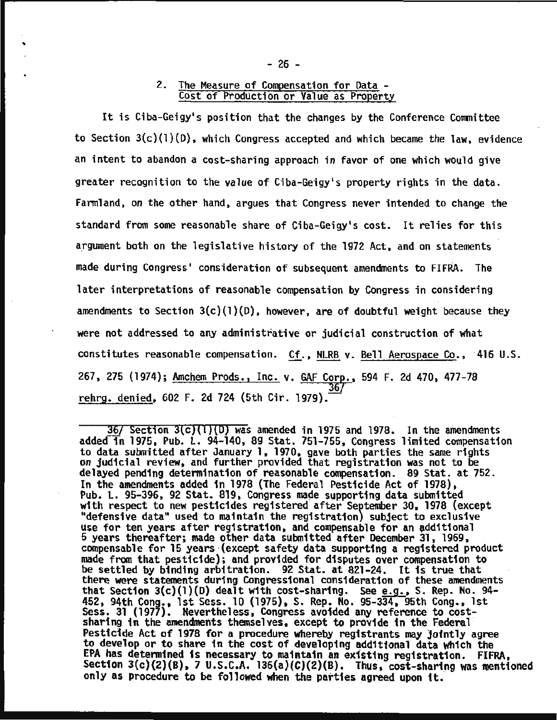# 2. The Measure of Compensation for Data - Cost of Production or Value as Property

It is Ciba-Geigy's position that the changes by the Conference Committee to Section 3(c}(l)(D}, which Congress accepted and which became the law, evidence an intent to abandon a cost-sharing approach in favor of one which would give greater recognition to the value of Ciba-Geigy's property rights in the data. Farmland, on the other hand, argues that Congress never intended to change the standard from some reasonable share of Ciba-Geigy's cost. It relies for this argument both on the legislative history of the 1972 Act, and on statements made during Congress' consideration of subsequent amendments to FIFRA. The later interpretations of reasonable compensation by Congress in considering amendments to Section  $3(c)(1)(D)$ , however, are of doubtful weight because they were not addressed to any administrative or judicial construction of what constitutes reasonable compensation. Cf., NLRB v. Bell Aerospace Co., ·416 U.S. 267, 275 (1974); Amchem Prods., Inc. v. GAF Corp., 594 F. 2d 470, 477-78 rehrg. denied, 602 F. 2d 724 (5th Cir. 1979).

 $36/$  Section  $3(c)(1)(0)$  was amended in 1975 and 1978. In the amendments added in 1975, Pub. L. 94-140, 89 Stat. 751-755, Congress limited compensation to data submitted after January 1, 1970, gave both parties the same rights on judicial review, and further provided that registration was not to be<br>delayed pending determination of reasonable compensation. 89 Stat. at 752. In the amendments added in 1978 (The Federal Pesticide Act of 1978), Pub. L. 95-396, 92 Stat. 819, Congress made supporting data submitted with respect to new pesticides registered after September 30, 1978 (except "defensive data" used to maintain the registration) subject to exclusive use for ten years after registration, and compensable for an additional 5 years thereafter; made other data submitted after December 31, 1969, made from that pesticide); and provided for disputes over compensation to be settled by binding arbitration. 92 Stat. at 821-24. It is true that there were statements during Congressional consideration of these amendments that Section  $3(c)(1)(D)$  dealt with cost-sharing. See e.g., S. Rep. No. 94-452, 94th Cong., 1st Sess. 10 (1975), S. Rep. No. 95-334, 95th Cong., 1st Sess. 31 (1977). Nevertheless, Congress avoided any reference to costsharing in the amendments themselves, except to provide in the Federal Pesticide Act of 1978 for a procedure whereby registrants may jointly agree to develop or to share in the cost of developing additional data which the EPA has detenmined is necessary to maintain an existing registration. FIFRA. Section  $3(c)(2)(B)$ , 7 U.S.C.A. 136(a)(C)(2)(B). Thus, cost-sharing was mentioned only as procedure to be followed when the parties agreed upon it.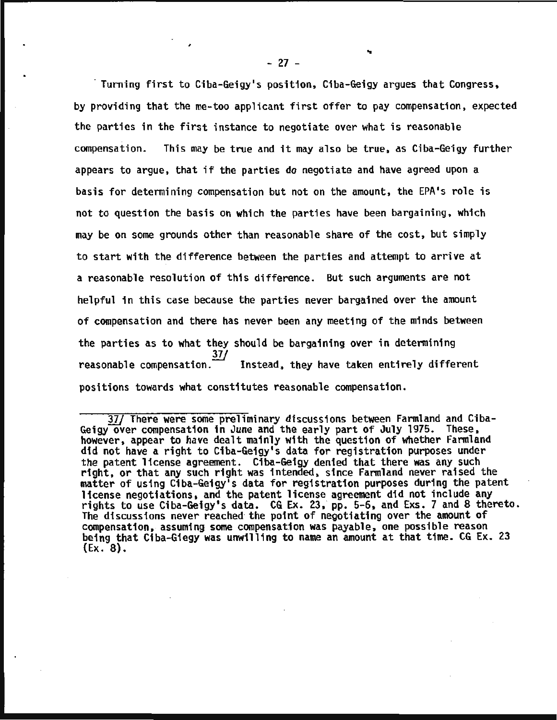Turning first to Ciba-Geigy's position, Ciba-Geigy argues that Congress, by providing that the me-too applicant first offer to pay compensation, expected the parties in the first instance to negotiate over what is reasonable compensation. This may be true and it may also be true, as Ciba-Geigy further appears to argue, that if the parties do negotiate and have agreed upon a basis for determining compensation but not on the amount, the EPA's role is not to question the basis on which the parties have been bargaining, which may be on some grounds other than reasonable share of the cost, but simply to start with the difference between the parties and attempt to arrive at a reasonable resolution of this difference. But such arguments are not helpful in this case because the parties never bargained over the amount of compensation and there has never been any meeting of the minds between the parties as to what they should be bargaining over in determining 37/ reasonable compensation.<sup>--</sup> Instead, they have taken entirely different positions towards what constitutes reasonable compensation.

<sup>37/</sup> There were some preliminary discussions between Farmland and Ciba-Geigy over compensation in June and the early part of July 1975. These, however, appear to have dealt mainly with the question of whether Farmland did not have a right to Ciba-Geigy's data for registration purposes under the patent license agreement. C1ba-Ge1gy denied that there was any such right, or that any such right was intended, since Farmland never raised the matter of using Ciba-Ge1gy's data for registration purposes during the patent license negotiations, and the patent license agreement did not include any rights to use Ciba-Geigy's data. CG Ex. 23, pp. 5-6, and Exs. 7 and 8 thereto. The discussions never reached· the point of negotiating over the amount of compensation, assuming some compensation was payable, one possible reason being that Ciba-Giegy was unwilling to name an amount at that time. CG Ex. 23  $(Ex. 8).$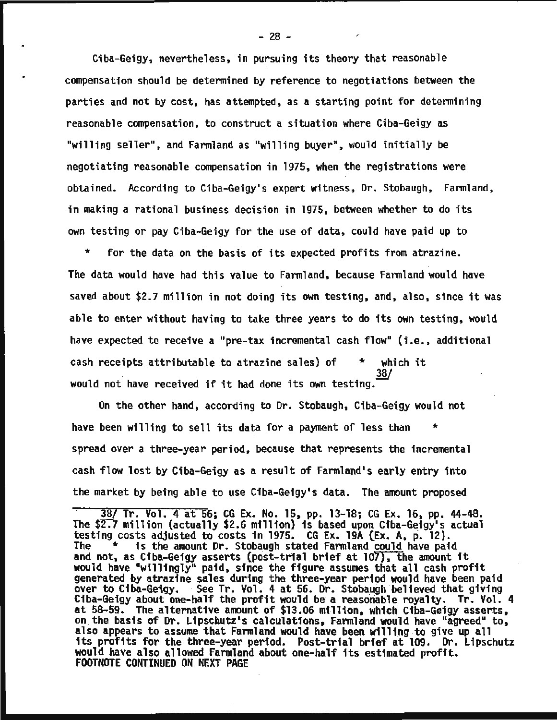Ciba-Geigy, nevertheless, in pursuing its theory that reasonable compensation should be determined by reference to negotiations between the parties and not by cost, has attempted, as a starting point for determining reasonable compensation, to construct a situation where Ciba-Geigy as "willing seller", and Farmland as "willing buyer", would initially be negotiating reasonable compensation in 1975, when the registrations were obtained. According to Ciba-Geigy•s expert witness, Or. Stobaugh, Farmland, in making a rational business decision in 1975, between whether to do its own testing or pay Ciba-Geigy for the use of data, could have paid up to

\* for the data on the basis of its expected profits from atrazine. The data would have had this value to Farmland, because Farmland would have saved about \$2.7 million in not doing its own testing, and, also, since it was able to enter without having to take three years to do its own testing, would have expected to receive a "pre-tax incremental cash flow" (i.e., additional cash receipts attributable to atrazine sales) of  $*$  which it . 38/ would not have received if it had done its own testing.

On the other hand, according to Or. Stobaugh, Ciba-Geigy would not have been willing to sell its data for a payment of less than spread over a three-year period, because that represents the incremental cash flow lost by Ciba-Geigy as a result of Farmland's early entry into the market by being able to use Ciba-Geigy•s data. The amount proposed

38/ Tr. Vol. 4 at 56; CG Ex. No. 15, pp. 13-18; CG Ex. 16, pp. 44-48. The \$2.7 million (actually \$2.6 million) is based upon Ciba-Geigy's actual testing costs adjusted to costs in 1975. CG Ex. 19A (Ex. A, p. 12).<br>The \* is the amount Dr. Stobaugh stated Farmland could have paid<br>and not, as Ciba-Geigy asserts (post-trial brief at 107), the amount it<br>would have "willi generated by atrazine sales during the three-year period would have been paid over to Ciba-Geigy. See Tr. Vol. 4 at 56. Dr. Stobaugh believed that giving Ciba-Geigy about one-half the profit would be a reasonable royalty. Tr. Vol. 4 at 58-59. The alternative amount of \$13.06 million, which Ciba-Geigy asserts, on the basis of Dr. Lipschutz's calculations, Farmland would have "agreed" to, also appears to assume that Farmland would have been willing to give up all its profits for the three-year period. Post-trial brief at 109. Dr. Lipschutz<br>would have also allowed Farmland about one-half its estimated profit.<br>FOOTNOTE CONTINUED ON NEXT PAGE

-

 $-28 -$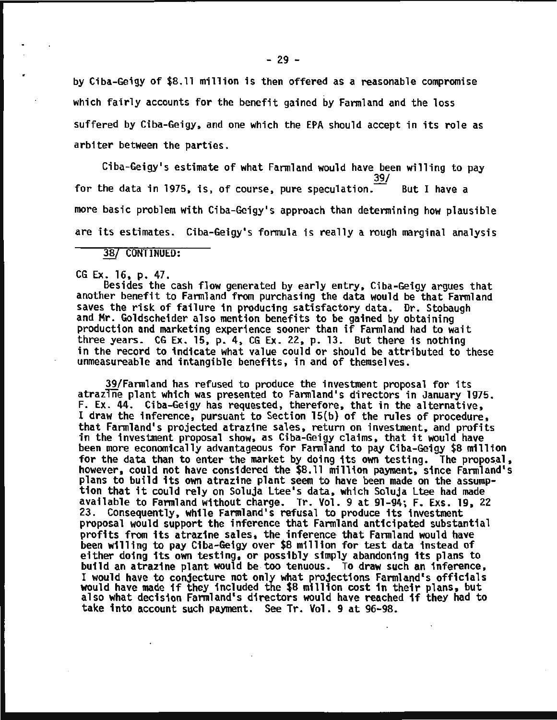by Ciba-Geigy of \$B.ll million is then offered as a reasonable compromise which fairly accounts for the benefit gained by Farmland and the loss suffered by Ciba-Geigy, and one which the EPA should accept in its role as arbiter between the parties.

Ciba-Geigy's estimate of what Farmland would have been willing to pay<br>39/<br>he data in 1975, is, of course, pure speculation. But I have a for the data in 1975, is, of course, pure speculation. more basic problem with Ciba-Geigy's approach than determining how plausible are its estimates. Ciba-Geigy's formula is really a rough marginal analysis

3B/ CONTINUED:

CG Ex. 16, p. 47.

Besides the cash flow generated by early entry, Ciba-Geigy argues that another benefit to Farmland from purchasing the data would be that Farmland saves the risk of failure in producing satisfactory data. Dr. Stobaugh and Mr. Goldscheider also mention benefits to be gained by obtaining production and marketing experience sooner than if Farmland had to wait three years. CG Ex. 15, p. 4, CG Ex. 22, p. 13. But there is nothing in the record to indicate what value could or should be attributed to these unmeasureable and intangible benefits, in and of themselves.

39/Farmland has refused to produce the investment proposal for its atrazine plant which was presented to Farmland's directors in January 1975. F. Ex. 44. Ciba-Geigy has requested, therefore, that in the alternative, I draw the inference, pursuant to Section 15(b) of the rules of procedure, that Farmland's projected atrazine sales, return on investment, and profits in the investment proposal show, as Ciba-Geigy claims, that it would have been more economically advantageous for Farmland to pay Ciba-Geigy \$8 million for the data than to enter the market by doing its own testing. The proposal, however, could not have considered the \$8.11 million payment, since Farmland's plans to build its own atrazine plant seem to have been made on the assump-<br>tion that it could rely on Soluja Ltee's data, which Soluja Ltee had made available to Farmland without charge. Tr. Vol. 9 at 91-94; F. Exs. 19, 22 23. Consequently, while Farmland's refusal to produce its investment proposal would support the inference that Farmland anticipated substantial profits from its atrazine sales, the inference that Farmland would have been willing to pay Ciba-Geigy over \$8 million for test data instead of either doing its own testing, or possibly simply abandoning its plans to build an atrazine plant would be. too tenuous. To draw such an inference, I would have to conjecture not only what projections Farmland's officials would have made if they included the \$8 million cost in their plans, but also what decision Farmland's directors would have reached if they had to take into account such payment. See Tr. Vol. 9 at 96-98.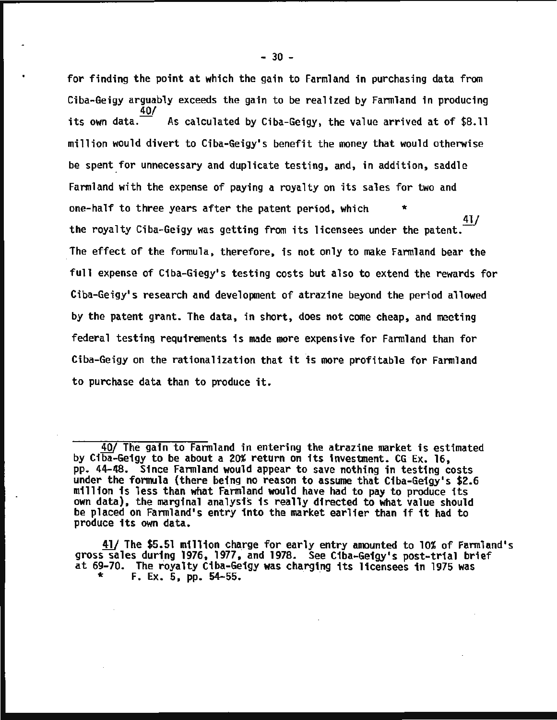for finding the point at which the gain to Farmland in purchasing data from Ciba-Geigy arguably exceeds the gain to be realized by Farmland in producing its own data. 40/ As calculated by Ciba-Geigy, the value arrived at of \$8.11 million would divert to Ciba-Geigy•s benefit the money that would otherwise be spent for unnecessary and duplicate testing, and, in addition, saddle Farmland with the expense of paying a royalty on its sales for two and one-half to three years after the patent period, which \* 41/ the royalty Ciba-Geigy was getting from its licensees under the patent. The effect of the formula, therefore, is not only to make Farmland bear the full expense of Ciba-Giegy's testing costs but also to extend the rewards for Ciba-Geigy•s research and development of atrazine beyond the period allowed by the patent grant. The data, in short, does not come cheap, and meeting federal testing requirements is made more expensive for Farmland than for Ciba-Geigy on the rationalization that it is more profitable for Farmland to purchase data than to produce it.

41/ The \$5.51 million charge for early entry amounted to 10% of Farmland's gross sales during 1976, 1977, and 1978. See Ciba-Geigy's post-trial brief at 69-70. The royalty Ciba-Geigy was charging its licensees in 1975 was  $*$  F. Ex. 5, pp. 54-55.

<sup>40/</sup> The gain to Farmland in entering the atrazine market is estimated by Ciba-Geigy to be about a 20% return on its investment. CG Ex. 16, pp. 44-48. Since Farmland would appear to save nothing in testing costs under the formula (there being no reason to assume that Ciba-Geigy's \$2.6 million is less than what Farmland would have had to pay to produce its own data), the marginal analysis is really directed to what value should be placed on Farmland's entry into the market earlier than if it had to produce its own data.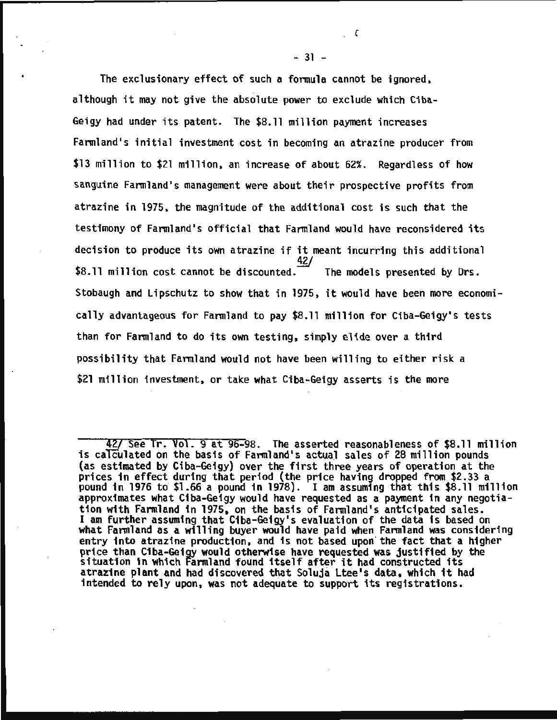The exclusionary effect of such a formula cannot be ignored, although it may not give the absolute power to exclude which Ciba-Geigy had under its patent. The \$8.11 million payment increases Farmland's initial investment cost in becoming an atrazine producer from \$13 million to \$21 million, an increase of about 62%. Regardless of how sanguine Farmland's management were about their prospective profits from atrazine in 1975, the magnitude of the additional cost is such that the testimony of Farmland's official that Farmland would have reconsidered its decision to produce its own atrazine if it meant incurring this additional<br> $\frac{42}{5}$ \$8.11 million cost cannot be discounted. The models presented by Drs. Stobaugh and Lipschutz to show that in 1975, it would have been more economically advantageous for Farmland to pay \$8.11 million for Ciba-Geigy•s tests than for Farmland to do its own testing, simply elide over a third possibility that Farmland would not have been willing to either risk a \$21 million investment, or take what Ciba-Geigy asserts is the more

 $-31 -$ 

*c* 

<sup>427</sup> See Tr. Vol. 9 at 96-98. The asserted reasonableness of \$8.11 million is calculated on the basis of Farmland's actual sales of 28 million pounds (as estimated by Ciba-Geigy) over the first three years of operation at the prices in effect during that period (the price having dropped from \$2.33 a pound in 1976 to \$1.66 a pound in 1978). I am assuming that this \$8.11 million approximates what Ciba-Geigy would have requested as a payment in any negotiation with Farmland in 1975, on the basis of Farmland's anticipated sales. I am further assuming that Ciba-Geigy•s evaluation of the data is based on what Farmland as a willing buyer would have paid when Farmland was considering entry into atrazine production, and is not based upon the fact that a higher price than Ciba-Geigy would otherwise have requested was justified by the price than clud-delgy would otherwise have requested was justified by<br>situation in which Farmland found itself after it had constructed its atrazine plant and had discovered that Soluja Ltee's data, which it had intended to rely upon, was not adequate to support its registrations.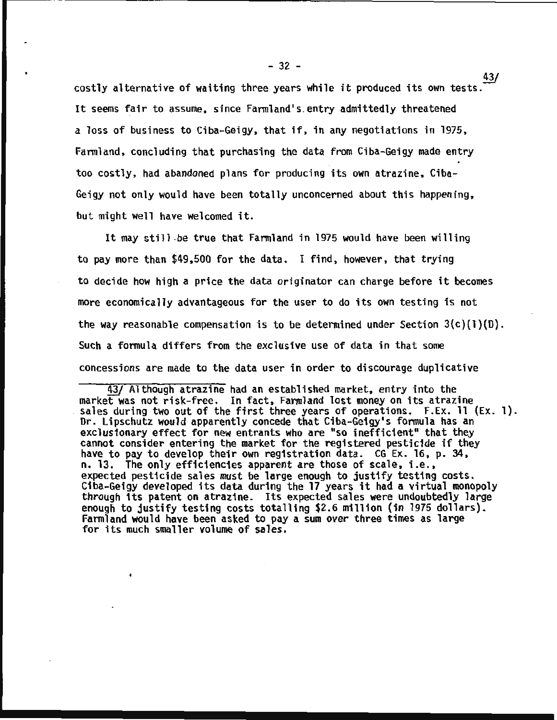$-32$ costly alternative of waiting three years while it produced its own tests. $\frac{43}{4}$ It seems fair to assume, since Farmland's.entry admittedly threatened a loss of business to Ciba-Geigy, that if, in any negotiations in 1975, Farmland, concluding that purchasing the data from Ciba-Geigy made entry too costly, had abandoned plans for producing its own atrazine, Ciba-Geigy not only would have been totally unconcerned about this happening, but might well have welcomed it.

It may still .be true that Farmland in 1975 would have been willing to pay more than \$49,500 for the data. I find, however, that trying to decide how high a price the data originator can charge before it becomes more economically advantageous for the user to do its own testing is not the way reasonable compensation is to be determined under Section  $3(c)(1)(D)$ . Such a formula differs from the exclusive use of data in that some concessions are made to the data user in order to discourage duplicative

~ Although atrazine had an established market, entry into the market was not risk-free. In fact, Farmland lost money on its atrazine sales during two out of the first three years of operations. F.Ex. 11 (Ex. 1).<br>Dr. Lipschutz would apparently concede that Ciba-Geigy's formula has an exclusionary effect for new entrants who are "so inefficient" that they cannot consider entering the market for the registered pesticide if they have to pay to develop their own registration data. CG Ex. 16, p. 34, n. 13. The only efficiencies apparent are those of scale, i.e., expected pesticide sales must be large enough to justify testing costs. Ciba-Geigy developed its data during the 17 years it had a virtual monopoly through its patent on atrazine. Its expected sales were undoubtedly large enough to justify testing costs totalling \$2.6 million (in 1975 dollars). Farmland would have been asked to pay a sum over three times as large for its much smaller volume of sales.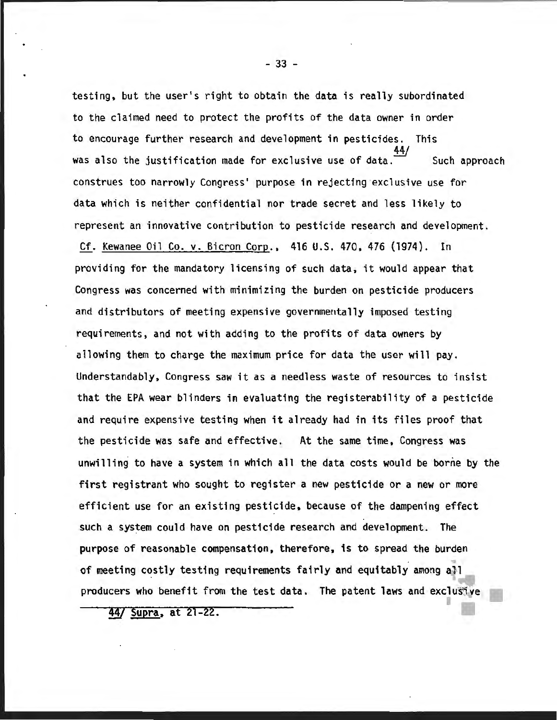testing. but the user's right to obtain the data is really subordinated to the claimed need to protect the profits of the data owner in order to encourage further research and development in pesticides. This 44/ was also the justification made for exclusive use of data. Such approach construes too narrowly Congress' purpose in rejecting exclusive use for data which is neither confidential nor trade secret and less likely to represent an innovative contribution to pesticide research and development.

Cf. Kewanee Oil Co. v. Bicron Corp., 416 U.S. 470. 476 (1974). In providing for the mandatory licensing of such data, it would appear that Congress was concerned with minimizing the burden on pesticide producers and distributors of meeting expensive governmentally imposed testing requirements, and not with adding to the profits of data owners by allowing them to charge the maximum price for data the user will pay. Understandably, Congress saw it as a needless waste of resources to insist that the EPA wear blinders in evaluating the registerability of a pesticide and require expensive testing when it already had in its files proof that the pesticide was safe and effective. At the same time, Congress was unwilling to have a system in which all the data costs would be borne by the first registrant who sought to register a new pesticide or a new or more efficient use for an existing pesticide, because of the dampening effect such a system could have on pesticide research and development. The purpose of reasonable compensation, therefore, is to spread the burden of meeting costly testing requirements fairly and equitably among all producers who benefit from the test data. The patent laws and exclusive

44/ Supra, at 21-22.

- 33 -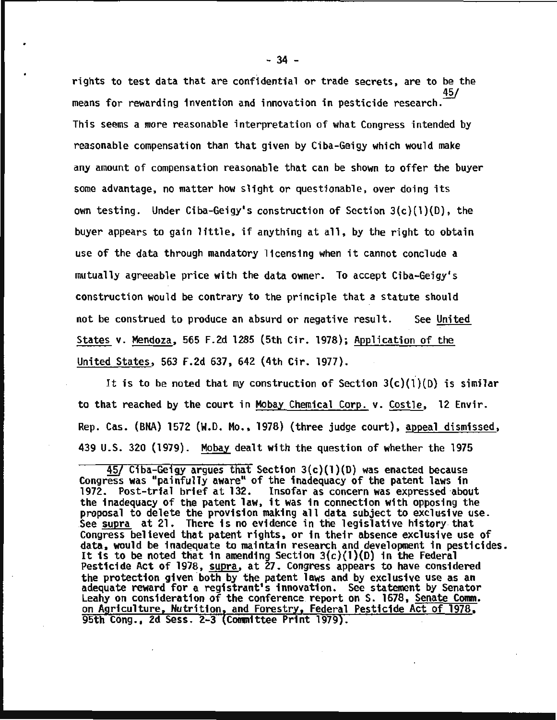rights to test data that are confidential or trade secrets, are to be the means for rewarding invention and innovation in pesticide research.<sup>45/</sup> This seems a more reasonable interpretation of what Congress intended by reasonable compensation than that given by Ciba-Geigy which would make any amount of compensation reasonable that can be shown to offer the buyer some advantage, no matter how slight or questionable, over doing its own testing. Under Ciba-Geigy's construction of Section  $3(c)(1)(D)$ , the buyer appears to gain little, if anything at all, by the right to obtain use of the data through mandatory licensing when it cannot conclude a mutually agreeable price with the data owner. To accept Ciba-Geigy's construction would be contrary to the principle that a statute should not be construed to produce an absurd or negative result. See United States v. Mendoza, 565 F.2d 1285 (5th Cir. 1978); Application of the United States, 563 F.2d 637, 642 (4th Cir. 1977).

It is to be noted that my construction of Section  $3(c)(1)(D)$  is similar to that reached by the court in Mobay Chemical Corp. v. Costle, 12 Envir. Rep. Cas. (BNA} 1572 (W.O. Mo., 1978} (three judge court}, appeal dismissed, 439 U.S. 320 (1979}. Mobay dealt with the question of whether the 1975

*<sup>!§{</sup>* Ciba-Geigy argues that Section 3(c}(l)(O) was enacted because Congress was "painfully aware" of the inadequacy of the patent laws in 1972. Post-trial brief at 132. Insofar as concern was expressed about the inadequacy of the patent law, it was in connection with opposing the proposal to delete the provision making all data subject to exclusive use. See supra at 21. There is no evidence in the legislative history that Congress believed that patent rights, or in their absence exclusive use of data. would be inadequate to maintain research and development in pesticides. It is to be noted that in amending Section  $3(c)(1)(D)$  in the Federal Pesticide Act of 1978, supra, at 27. Congress appears to have considered the protection given both by the patent laws and by exclusive use as an adequate reward for a registrant's innovation. See statement by Senator Leahy on consideration of the conference. report on S. 1678, Senate Comm. on Agriculture, Nutrition, and Forestry, Federal Pesticide Act of 1978, 95th Cong •• 2d Sess. 2-3 Committee Print 1979).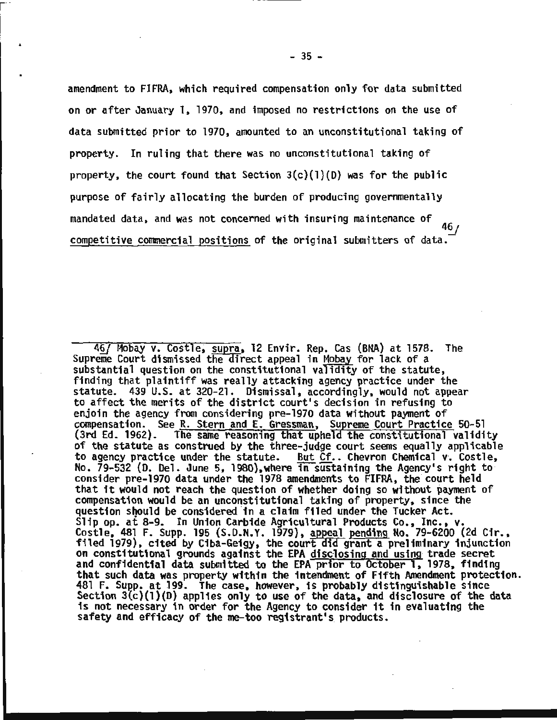amendment to FIFRA, which required compensation only for data submitted on or after January 1, 1970, and imposed no restricttons on the use of data submitted prior to 1970, amounted to an unconstitutional taking of property. In ruling that there was no unconstitutional taking of property, the court found that Section  $3(c)(1)(D)$  was for the public purpose of fairly allocating the burden of producing governmentally mandated data, and was not concerned with insuring maintenance of  $46/$ competitive commercial positions of the original submitters of data.

<sup>46/</sup> Mobay v. Costle, supra, 12 Envir. Rep. Cas (BNA) at 1578. The Supreme Court dismissed the direct appeal in Mobay for lack of a substantial question on the constitutional validity of the statute, finding that plaintiff was really attacking agency practice under the statute. 439 U.S. at 320-21. Dismissal, accordingly, would not appear to affect the merits of the district court's decision in refusing to enjoin the agency from considering pre-1970 data without payment of compensation. See R. Stern and E. Gressman, Supreme Court Practice 50-51 (3rd Ed. 1962). The same reasoning that upheld the constitutional validity of the statute as construed by the three-judge court seems equally applicable<br>to agency practice under the statute. But Cf.. Chevron Chemical v. Costle, But Cf.. Chevron Chemical v. Costle, No. 79-532 (D. Del. June 5, 1980),where in sustaining the Agency's right to consider pre-1970 data under the 1978 amendments to FIFRA, the court held that it would not reach the question of whether doing so without payment of compensation would be an unconstitutional taking of property, since the question should be considered in a claim filed under the Tucker Act. Slip op. at 8-9. In Union Carbide Agricultural Products Co., Inc., v. Costle, 481 F. Supp. 195 (S.D.N.Y. 1979), appeal pending No. 79-6200 (2d Cir., filed 1979), cited by Ciba-Geigy, the court did grant a preliminary injunction on constitutional grounds against the EPA disclosing and using trade secret<br>and confidential data submitted to the EPA prior to October 1, 1978, finding that such data was property within the intendment of Fifth Amendment protection.<br>481 F. Supp. at 199. The case, however, is probably distinguishable since Section  $3(c)(1)(D)$  applies only to use of the data, and disclosure of the data is not necessary in order for the Agency to consider it in evaluating the safety and efficacy of the me-too registrant's products.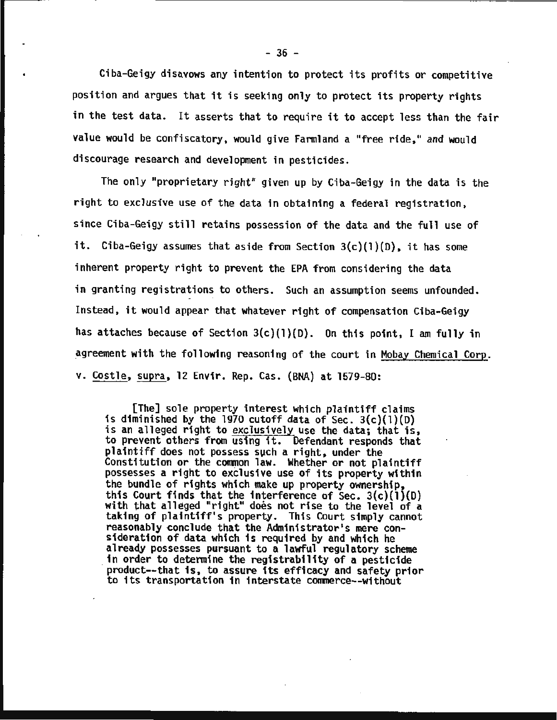Ciba-Geigy disavows any intention to protect its profits or competitive position and argues that it is seeking only to protect its property rights in the test data. It asserts that to require it to accept less than the fair value would be confiscatory, would give Farmland a "free ride," and would discourage research and development in pesticides.

The only "proprietary right" given up by Ciba-Geigy in the data is the right to exclusive use of the data in obtaining a federal registration, since Ciba-Geigy still retains possession of the data and the full use of it. Ciba-Geigy assumes that aside from Section  $3(c)(1)(D)$ , it has some inherent property right to prevent the EPA from considering the data in granting registrations to others. Such an assumption seems unfounded. Instead, it would appear that whatever right of compensation Ciba-Geigy has attaches because of Section  $3(c)(1)(D)$ . On this point, I am fully in agreement with the following reasoning of the court in Mobay Chemical Corp. v. Costle, supra, 12 Envir. Rep. Cas. (BNA) at 1579-80:

[The] sole property interest which plaintiff claims<br>is diminished by the 1970 cutoff data of Sec.  $3(c)(1)(D)$ is an alleged right to exclusively use the data; that is, to prevent others from using it. Defendant responds that plaintiff does not possess such a right, under the Constitution or the common law. Whether or not plaintiff possesses a right to exclusive use of its property within<br>the bundle of rights which make up property ownership, this Court finds that the interference of Sec.  $3(c)(1)(D)$  with that alleged "right" does not rise to the level of a taking of plaintiff•s property. This Court simply cannot reasonably conclude that the Administrator's mere consideration of data which is required by and which he already possesses pursuant to a lawful regulatory scheme<br>in order to determine the registrability of a pesticide product--that is, to assure its efficacy and safety prior to its transportation in interstate commerce--without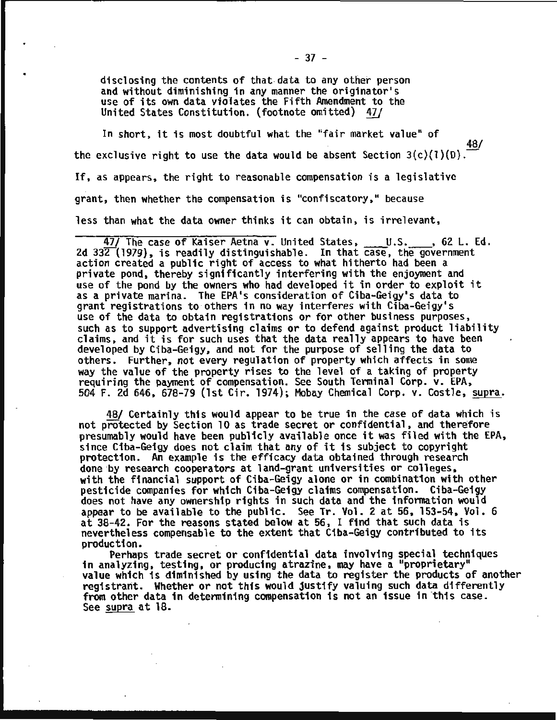disclosing the contents of that data to any other person and without diminishing in any manner the originator's use of its own data violates the Fifth Amendment to the United States Constitution. (footnote omitted) 11/

In short, it is most doubtful what the "fair market value" of 48/ the exclusive right to use the data would be absent Section  $3(c)(1)(0)$ . If, as appears, the right to reasonable compensation is a legislative grant, then whether the compensation is "confiscatory," because less than what the data owner thinks it can obtain, is irrelevant,

47/ The case of Kaiser Aetna v. United States, U.S. , 62 L. Ed. 2d 33 $\overline{2}$  (1979), is readily distinguishable. In that case, the government action created a public right of access to what hitherto had been a private pond, thereby significantly interfering with the enjoyment and use of the pond by the owners who had developed it in order to exploit it as a private marina. The EPA's consideration of Ciba-Geigy's data to grant registrations to others in no way interferes with Ciba-Geigy's<br>use of the data to obtain registrations or for other business purposes, such as to support advertising claims or to defend against product liability claims, and it is for such uses that the data really appears to have been developed by Ciba-Geigy, and not for the purpose of selling the data to others. Further, not every regulation of property which affects in some way the value of the property rises to the level of a taking of property requiring the payment of compensation. See South Terminal Corp. v. EPA, 504 F. 2d 646, 678-79 (1st Cir. 1974); Mobay Chemical Corp. v. Costle, supra.

48/ Certainly this would appear to be true in the case of data which is not protected by Section 10 as trade secret or confidential, and therefore presumably would have been publicly available once it was filed with the EPA,<br>since Ciba-Geigy does not claim that any of it is subject to copyright protection. An example is the efficacy data obtained through research<br>done by research cooperators at land-grant universities or colleges, with the financial support of Ciba-Geigy alone or in combination with other pesticide companies for which Ciba-Geigy claims compensation. Ciba-Geigy does not have any ownership rights in such data and the information would appear to be available to the public. See Tr. Vol. 2 at 56, 153-54, Vol. 6 at 38-42. For the reasons stated below at 56, I find that such data is nevertheless compensable to the extent that Ciba-Geigy contributed to its

Perhaps trade secret or confidential data involving special techniques in analyzing, testing, or producing atrazine, may have a "proprietary" value which is diminished by using the data to register the products of another registrant. Whether or not this would justify valuing such data differently from other data in determining compensation is not an issue in this case. See supra at 18.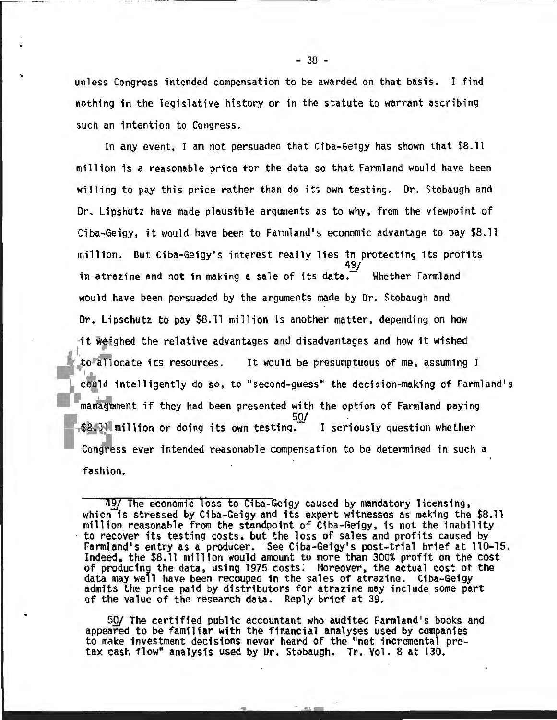unless Congress intended compensation to be awarded on that basis. I find nothing in the legislative history or in the statute to warrant ascribing such an intention to Congress.

In any event, I am not persuaded that Ciba-Geigy has shown that \$8.11 million is a reasonable price for the data so that Farmland would have been willing to pay this price rather than do its own testing. Dr. Stobaugh and Dr. Lipshutz have made plausible arguments as to why, from the viewpoint of Ciba-Geigy, it would have been to Farmland's economic advantage to pay \$8.11 million. But Ciba-Geigy•s interest really lies in protecting its profits in atrazine and not in making a sale of its data. Whether Farmland would have been persuaded by the arguments made by Dr. Stobaugh and Dr. Lipschutz to pay \$8.11 million is another matter, depending on how -fit ighed the relative advantages and disadvantages and how it wished to allocate its resources. It would be presumptuous of me, assuming I could intelligently do so, to "second-guess" the decision-making of Farmland's management if they had been presented with the option of Farmland paying 50/  $$B$ . Il million or doing its own testing. I seriously question whether Congress ever intended reasonable compensation to be determined in such a fashion.

49/ The economic loss to Ciba-Geigy caused by mandatory licensing, which is stressed by Ciba-Geigy and its expert witnesses as making the \$8.11 million reasonable from the standpoint of Ciba-Geigy, is not the inability million reasonable from the standpoint of Ciba-Geigy, is not the inability<br>to recover its testing costs, but the loss of sales and profits caused by<br>Farmland's entry as a producer. See Ciba-Geigy's post-trial brief at 110-Indeed, the \$8.11 million would amount to more than 300% profit on the cost of producing the data, using 1975 costs. Moreover, the actual cost of the data may well have been recouped in the sales of atrazine. Ciba-Geigy admits the price paid by distributors for atrazine may include some part<br>of the value of the research data. Reply brief at 39.

50/ The certified public accountant who audited Farmland's books and appeared to be familiar with the financial analyses used by companies to make investment decisions never heard of the "net incremental pretax cash flow" analysis used by Dr. Stobaugh. Tr. Vol. 8 at 130.

·- ·-· -----·---··-·-- - --- ---------------------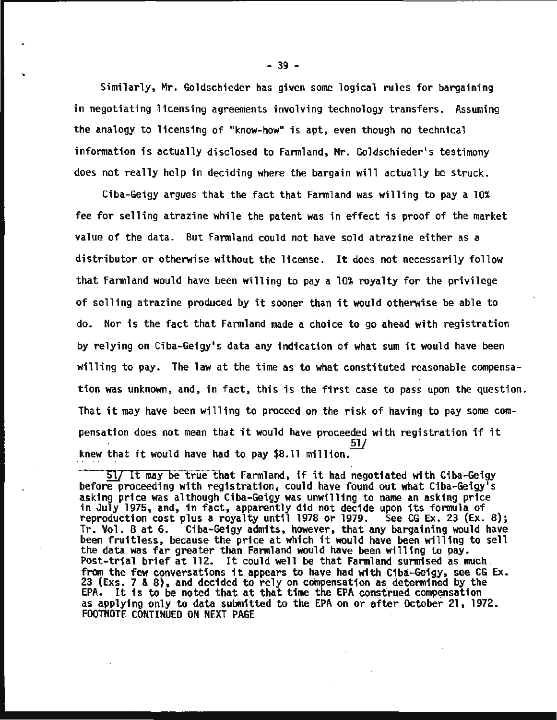Similarly, Mr. Goldschieder has given some logical rules for bargaining in negotiating licensing agreements involving technology transfers. Assuming the analogy to licensing of "know-how" is apt, even though no technical information is actually disclosed to Farmland, Mr. Goldschieder's testimony does not really help in deciding where the bargain will actually be struck.

Ciba-Geigy argues that the fact that Farmland was willing to pay a 10% fee for selling atrazine while the patent was in effect is proof of the market value of the data. But Farmland could not have sold atrazine either as a distributor or otherwise without the license. It does not necessarily follow that Farmland would have been willing to pay a 10% royalty for the privilege of selling atrazine produced by it sooner than it would otherwise be able to do. Nor is the fact that Farmland made a choice to go ahead with registration by relying on Ciba-Geigy's data any indication of what sum it would have been willing to pay. The law at the time as to what constituted reasonable compensation was unknown, and, in fact, this is the first case to pass upon the question. That it may have been willing to proceed on the risk of having to pay some compensation does not mean that it would have proceeded with registration if it<br>51/ knew that it would have had to pay  $$8.11$  million.

 $-39 -$ 

<sup>&</sup>lt;sup>51</sup>] It may be true that Farmland, if it had negotiated with Ciba-Geigy before proceeding with registration, could have found out what Ciba-Geigy's asking price was although Ciba-Geigy was unwilling to name an asking pric asking price was although Ciba-Geigy was unwilling to name an asking price in July 1975, and, in fact, apparently did not decide upon its formula of reproduction cost plus a royalty until 1978 or 1979. See CG Ex. 23 (Ex. 8); Tr. Vol. 8 at 6. Ciba-Geigy admits, however, that any bargaining would have been fruitless, because the price at which it would have been willing to sell the data was far greater than Farmland would have been willing to pay. the data was far greater than Farmland would have been willing to pay. Post-trial brief at 112. It could well be that Farmland surmised as much . from the few conversations it appears to have had with Ciba-Geigy, see CG Ex. 23 (Exs. 7 & 8), and decided to rely on compensation as determined by the EPA. It is to be noted that at that time the EPA construed compensation as applying only to data submitted to the EPA on or after October 21, 1972. FOOTNOTE CONTINUED ON NEXT PAGE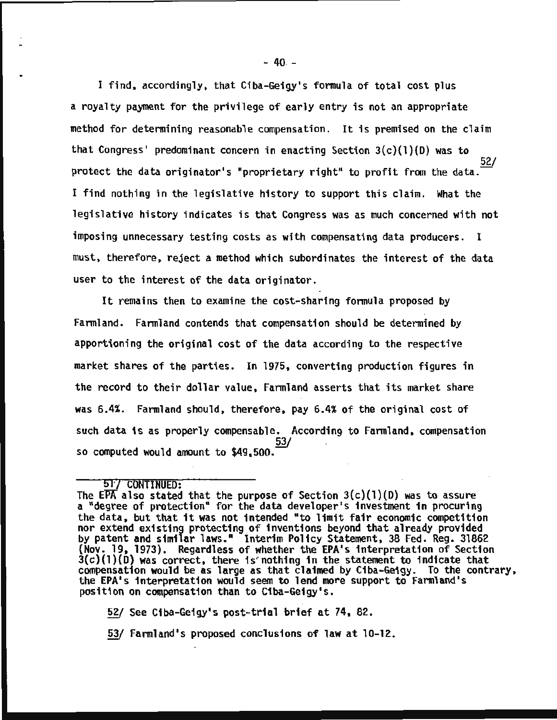I find, accordingly, that Ciba-Geigy's formula of total cost plus a royalty payment for the privilege of early entry is not an appropriate method for determining reasonable compensation. It is premised on the claim that Congress' predominant concern in enacting Section  $3(c)(1)(D)$  was to 52/ protect the data originator's "proprietary right" to profit from the data. 1 find nothing in the legislative history to support this claim. What the legislative history indicates is that Congress was as much concerned with not imposing unnecessary testing costs as with compensating data producers. I must, therefore, reject a method which subordinates the interest of the data user to the interest of the data originator.

It remains then to examine the cost-sharing formula proposed by Farmland. Farmland contends that compensation should be determined by apportioning the original cost of the data according to the respective market shares of the parties. In 1975, converting production figures in the record to their dollar value, Farmland asserts that its market share was 6.4%. Farmland should, therefore, pay 6.4% of the original cost of such data is as properly compensable. According to Farmland, compensation so computed would amount to \$49.500.

#### 51'/ CONTINUED:

The EPA also stated that the purpose of Section  $3(c)(1)(D)$  was to assure a "degree of protection" for the data developer's investment in procuring the data, but that it was not intended "to limit fair economic competition nor extend existing protecting of inventions beyond that already provided<br>by patent and similar laws." Interim Policy Statement, 38 Fed. Reg. 31862 {Nov. 19, 1973). Regardless of whether the EPA's interpretation of Section  $3(c)(1)(D)$  was correct, there is nothing in the statement to indicate that compensation would be as large as that claimed by Ciba-Geigy. To the contrary, the EPA's interpretation would seem to lend more support to Farmland's position on compensation than to Ciba-Geigy's.

~ See Ciba-Geigy's post-trial brief at 74, 82.

53/ Farmland's proposed conclusions of law at 10-12.

 $- 40 -$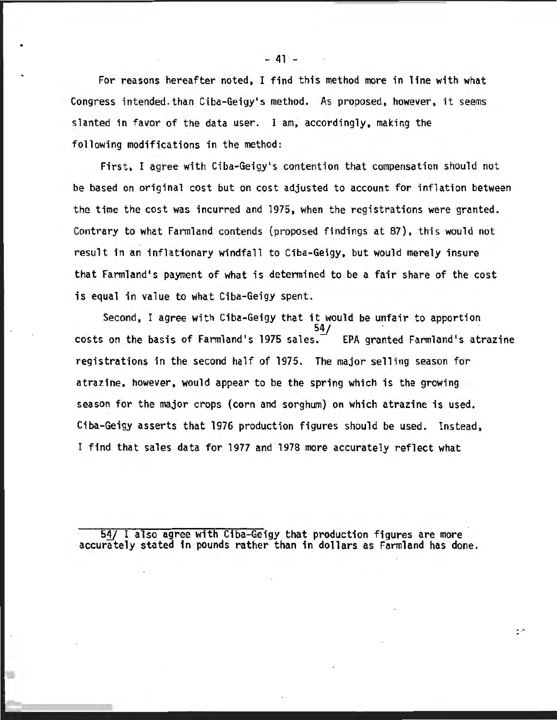For reasons hereafter noted, I find this method more in line with what Congress intended.than Ciba-Geigy's method. As proposed, however, it seems slanted in favor of the data user. I am, accordingly, making the following modifications in the method:

First, I agree with Ciba-Geigy•s contention that compensation should not be based on original cost but on cost adjusted to account for inflation between the time the cost was incurred and 1975, when the registrations were granted. Contrary to what Farmland contends (proposed findings at 87), this would not result in an inflationary windfall to Ciba-Geigy, but would merely insure that Farmland's payment of what is determined to be a fair share of the cost is equal in value to what Ciba-Geigy spent.

Second, I agree with Ciba-Geigy that it would be unfair to apportion costs on the basis of Farmland's 1975 sales. EPA granted Farmland's. atrazine registrations in the second half of 1975. The major selling season for atrazine, however, would appear to be the spring which is the growing season for the major crops (corn and sorghum) on which atrazine is used. Ciba-Geigy asserts that 1976 production figures should be used. Instead, I find that sales data for 1977 and 1978 more accurately refiect what

54/ I also agree with Ciba-Geigy that production figures are more accurately stated in pounds rather than in dollars as Farmland has done.

E.F

- 41 -

•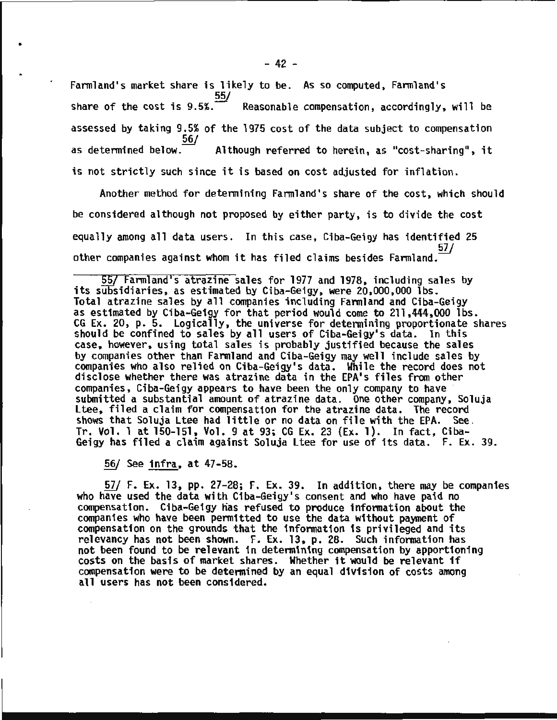Farmland's market share is likely to be. As so computed, Farmland's 55/ share of the cost is  $9.5\%$ . Reasonable compensation, accordingly, will be assessed by taking 9.5% of the 1975 cost of the data subject to compensation<br> $\frac{56}{}$ <br>as determined below. Although referred to herein, as "cost-sharing", it Although referred to herein, as "cost-sharing", it is not strictly such since it is based on cost adjusted for inflation.

Another method for determining Farmland's share of the cost, which should be considered although not proposed by either party, is to divide the cost equally among all data users. In this case, Ciba-Geigy has identified 25 other companies against whom it has filed claims besides Farmland. $\frac{51}{100}$ 

 $\overline{55/}$  Farmland's atrazine sales for 1977 and 1978, including sales by its subsidiaries, as estimated by Ciba-Geigy, were 20,000,000 lbs. Total atrazine sales by all companies including Farmland and Ciba-Geigy as estimated by Ciba-Geigy for that period would come to 211,444,000 lbs. CG Ex. 20, p. 5. Logically, the universe for determining proportionate shares should be confined to sales by all users of Ciba-Geigy's data. In this case, however, using total sales is probably justified because the sales by companies other than Farmland and Ciba-Geigy may well include sales by companies who also relied on Ciba-Geigy's data. While the record does not disclose whether there was atrazine data in the EPA's files from other companies, Ciba-Geigy appears to have been the only company to have submitted a substantial amount of atrazine data. One other company, Soluja<br>Ltee, filed a claim for compensation for the atrazine data. The record shows that Soluja Ltee had little or no data on file with the EPA. See.<br>Tr. Vol. 1 at 150-151, Vol. 9 at 93; CG Ex. 23 (Ex. 1). In fact, Ciba-Geigy has filed a claim against Soluja Ltee for use of its data. F. Ex. 39.

*§§{* See· infra, at 47-58.

•

57/ F. Ex. 13, pp. 27-28; F. Ex. 39. In addition, there may be companies who have used the data with Ciba-Geigy's consent and who have paid no compensation. Ciba-Geigy nas refused to produce information about the companies who have been permitted to use the data without payment of compensation on the grounds that the information is privileged and its relevancy has not been shown. F. Ex. 13, p. 28. Such information has not been found to be relevant in determining compensation by apportioning costs on the basis of market shares. Whether it would be relevant if compensation were to be determined by an equal division of costs among all users has not been considered.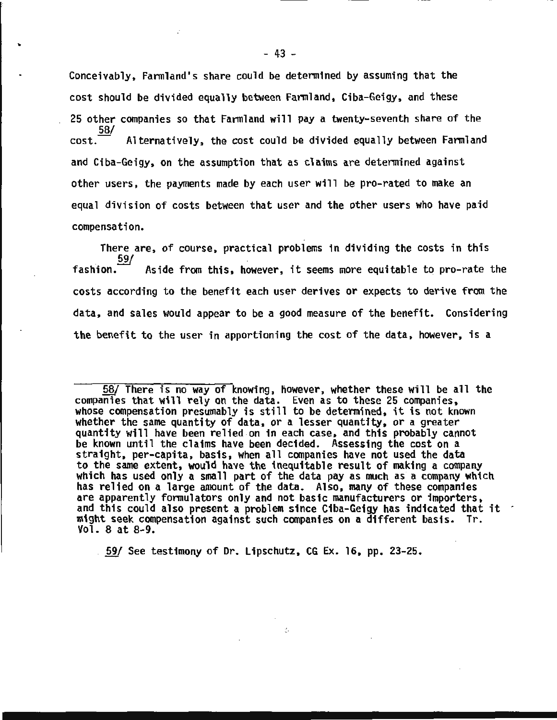Conceivably, Farmland•s share could be determined by assuming that the cost should be divided equally between Farmland, Ciba-Geigy, and these 25 other companies so that Farmland will pay a twenty-seventh share of the 58/  $cost.$  Alternatively, the cost could be divided equally between Farmland and Ciba-Geigy, on the assumption that as claims are determined against other users, the payments made by each user will be pro-rated to make an equal division of costs between that user and the other users who have paid compensation.

There are, of course, practical problems in dividing the costs in this fashion. Aside from this, however, it seems more equitable to pro-rate the costs according to the benefit each user derives or expects to derive from the data, and sales would appear to be a good measure of the benefit. Considering the benefit to the user in apportioning the cost of the data, however, is a

...............................................

59/ See testimony of Dr. Lipschutz, CG Ex. 16, pp. 23-25.

..

 $\overline{58/}$  There is no way of knowing, however, whether these will be all the companies that will rely on the data. Even as to these 25 companies. whose compensation presumably is still to be determined, it is not known<br>whether the same quantity of data, or a lesser quantity, or a greater quantity will have been relied on in each case, and this probably cannot be known until the claims have been decided. Assessing the cost on a straight, per-capita, basis, when all companies have not used the data<br>to the same extent, would have the inequitable result of making a company to the same extent, would have the inequitable result of making a company which has used only a small part of the data pay as much as· a company which has relied on a large amount of the data. Also, many of these companies are apparently formulators only and not basic manufacturers or importers. and this could also present a problem since Ciba-Geigy has indicated that it might seek compensation against such companies on a different basis. Tr. Vol. 8 at 8-9 •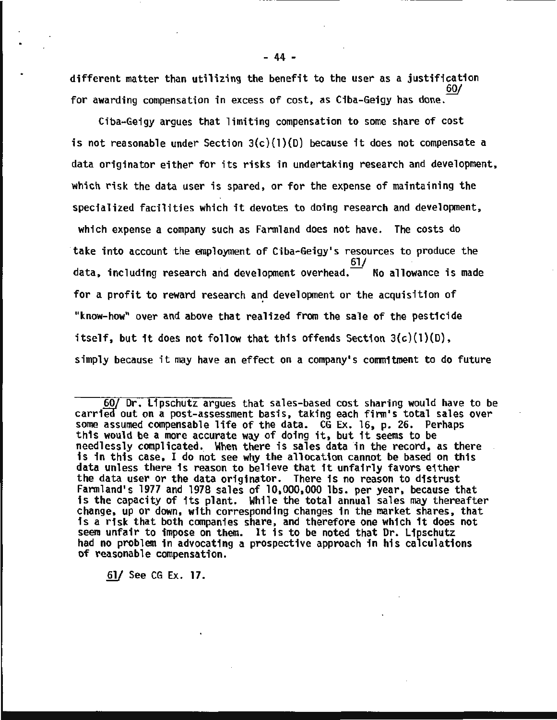different matter than utilizing the benefit to the user as a justification for awarding compensation in excess of cost, as Ciba-Geigy has done. *§!JJ* 

Ciba-Geigy argues that limiting compensation to some share of cost is not reasonable under Section 3(c)(l)(D) because it does not compensate a data originator either for its risks in undertaking research and development, which risk the data user is spared, or for the expense of maintaining the specialized facilities which it devotes to doing research and development, which expense a company such as Farmland does not have. The costs do take into account the employment of Ciba-Geigy's resources to produce the  $\frac{61}{ }$  No allowance is made data, including research and development overhead.<sup>-</sup> for a profit to reward research and development or the acquisition of "know-how" over and above that realized from the sale of the pesticide itself, but it does not follow that this offends Section  $3(c)(1)(D)$ , simply because it may have an effect on a company's commitment to do future

60/ Dr. Lipschutz argues that sales-based cost sharing would have to be carried out on a post-assessment basis, taking each firm's total sales over some assumed compensable life of the data. CG Ex. 16, p. 26. Perhaps this would be a more accurate way of doing it, but it seems to be needlessly complicated. When there is sales data in the record, as there is in this case, I do not see why the allocation cannot be based on this data unless there is reason to believe that it unfairly favors either the data user or the data originator. There is no reason to distrust Farmland's 1977 and 1978 sales of 10,000,000 lbs. per year, because that is the capacity of its plant. While the total annual sales may thereafter change, up or down, with corresponding changes in the market shares, that is a risk that both companies share, and therefore one which it does not seem unfair to impose on them. It is to be noted that Dr. Lipschutz<br>had no problem in advocating a prospective approach in his calculations of reasonable compensation.

*§11* See CG Ex. 17.

- 44 -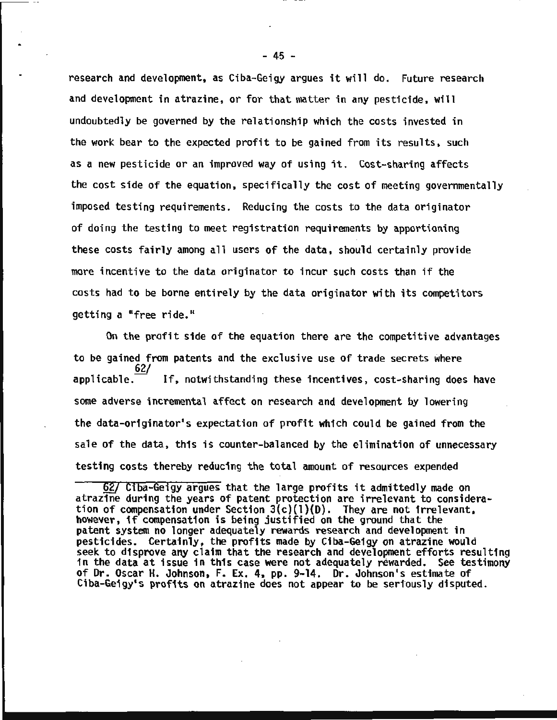research and development, as Ciba-Geigy argues it will do. Future research and development in atrazine, or for that matter in any pesticide, will undoubtedly be governed by the relationship which the costs invested in the work bear to the expected profit to be gained from its results, such as a new pesticide or an improved way of using it. Cost-sharing affects the cost side of the equation, specifically the cost of meeting governmentally imposed testing requirements. Reducing the costs to the data originator of doing the testing to meet registration requirements by apportioning these costs fairly among all users of the data, should certainly provide more incentive to the data originator to incur such costs than if the costs had to be borne entirely by the data originator with its competitors getting a "free ride."

On the profit side of the equation there are the competitive advantages to be gained from patents and the exclusive use of trade secrets where /62<br>-applicable If, notwithstanding these incentives, cost-sharing does have some adverse incremental affect on research and development by lowering the data-originator's expectation of profit which could be gained from the sale of the data, this is counter-balanced by the elimination of unnecessary testing costs thereby reducing the total amount of resources expended

 $- 45 -$ 

... ··--· .. .. ·---- -----------..,.,.,...--

<sup>§</sup>f! Ciba-Geigy argues that the large profits it admittedly made on atrazine during the years of patent protection are irrelevant to consideration of compensation under Section  $3(c)(1)(D)$ . They are not irrelevant, however, if compensation is being justified on the ground that the patent system no longer adequately rewards research and development in pesticides. Certainly, the profits made by Ciba-Geigy on atrazine would seek to disprove any claim that the research and development efforts resulting in the data at issue in this case were not adequately rewarded. See testimony of Dr. Oscar H. Johnson, F. Ex. 4, pp. 9-14. Dr. Johnson's estimate of Ciba-Geigy's profits on atrazine does not appear to be seriously disputed.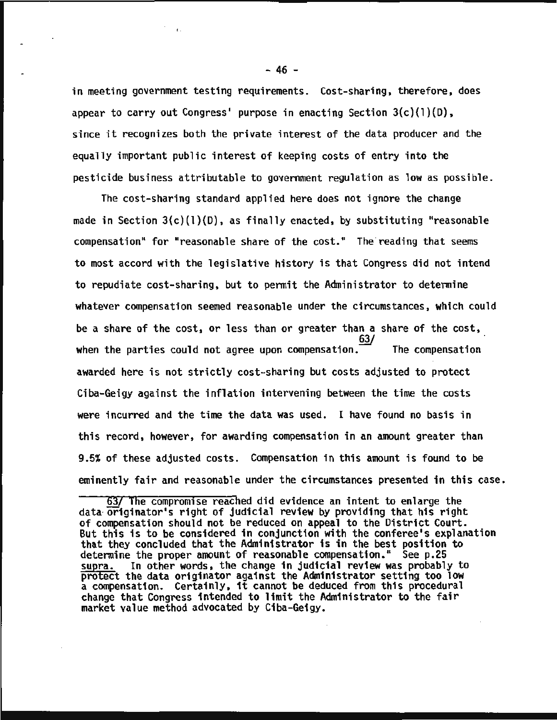in meeting government testing requirements. Cost-sharing, therefore, does appear to carry out Congress' purpose in enacting Section 3(c)(1)(D), since it recognizes both the private interest of the data producer and the equally important public interest of keeping costs of entry into the pesticide business attributable to government regulation as low as possible.

The cost-sharing standard applied here does not ignore the change made in Section  $3(c)(1)(D)$ , as finally enacted, by substituting "reasonable compensation" for "reasonable share of the cost." The 'reading that seems to most accord with the legislative history is that Congress did not intend to repudiate cost-sharing, but to permit the Administrator to determine whatever compensation seemed reasonable under the circumstances, which could be a share of the cost, or less than or greater than a share of the cost, when the parties could not agree upon compensation. The compensation awarded here is not strictly cost-sharing but costs adjusted to protect Ciba-Geigy against the inflation intervening between the time the costs were incurred and the time the data was used. I have found no basis in this record, however, for awarding compensation in an amount greater than 9.5% of these adjusted cQsts. Compensation in this amount is found to be eminently fair and reasonable under the circumstances presented in this case.

- 46 -

 $\pmb{t}$  .

<sup>63/</sup> The compromise reached did evidence an intent to enlarge the data· originator's right of judicial review by providing that his right of compensation should not be reduced on appeal to the District Court. But this is to be considered in conjunction with the conferee's explanation that they concluded that the Administrator is in the best position to determine the proper amount of reasonable compensation." See p.25<br>supra. In other words, the change in judicial review was probably In other words, the change in judicial review was probably to protect the data originator against the Administrator setting too low a compensation. Certainly, it cannot be deduced from this procedural change that Congress intended to limit the Administrator to the fair market value method advocated by Ciba-Geigy.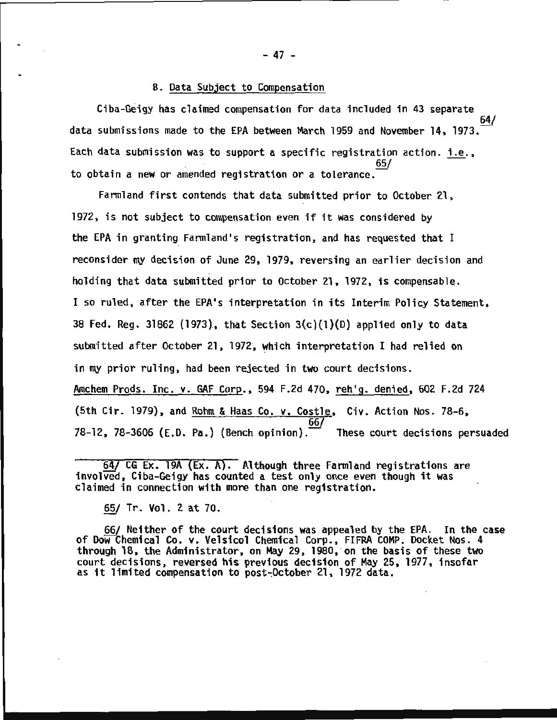#### B. Data Subject to Compensation

Ciba-Geigy has claimed compensation for data included in 43 separate 64/ data submissions made to the EPA between March 1959 and November 14, 1973. Each data submission was to support a specific registration action. i.e., to obtain a new or amended registration or a tolerance.

Farmland first contends that data submitted prior to October 21, 1972, is not subject to compensation even if it was considered by the EPA in granting Farmland's registration, and has requested that I reconsider my decision of June 29, 1979, reversing an earlier decision and holding that data submitted prior to October 21, 1972, is compensable. I so ruled, after the EPA's interpretation in its Interim Policy Statement, 38 Fed. Reg. 31862 (1973), that Section  $3(c)(1)(D)$  applied only to data submitted after October 21, 1972, which interpretation I had relied on in my prior ruling, had been rejected in two court decisions. Amchem Prods. Inc. v. GAF Corp., 594 F.2d 470, reh'g. denied, 602 F.2d 724 (5th Cir. 1979), and <u>Rohm & Haas Co. v. Costle</u>, Civ. Action Nos. 78-6,<br>66/<br>78-12. 78-3606 (E.D. Pa.) (Bench opinion). These court decisions persuaded 78-12, 78-3606 (E.D. Pa.) (Bench opinion).

§!/ CG Ex. 19A (Ex. A}. Although three Farmland registrations are involved, Ciba-Geigy has counted a test only once even though it was claimed in connection with more than one registration.

65/ Tr. Vol. 2 at 70.

66/ Neither of the court decisions was appealed by the EPA. In the case of DoW!Chemical Co. v. Velsicol Chemical Corp., FIFRA COMP. Docket Nos. 4 through 18, the Administrator, on May 29, 1980, on the basis of these two court decisions, reversed his previous decision of May 25, 1977, insofar as it limited compensation to post~October 21, 1972 data.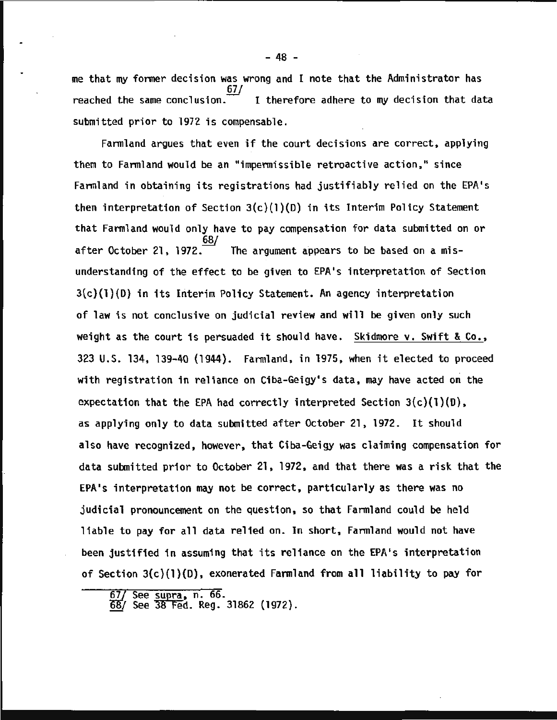me that my former decision was wrong and I note that the Administrator has 67/ reached the same conclusion. $\overline{\phantom{a}}$  I therefore adhere to my decision that data submitted prior to 1972 is compensable.

Farmland argues that even if the court decisions are correct, applying them to Farmland would be an "impermissible retroactive action," since Farmland in obtaining its registrations had justifiably relied on the EPA's then interpretation of Section  $3(c)(1)(D)$  in its Interim Policy Statement that Farmland would only have to pay compensation for data submitted on or 68/ after October 21, 1972. $\overline{\phantom{a}}$  The argument appears to be based on a misunderstanding of the effect to be given to EPA's interpretation of Section 3(c)(l)(D) in its Interim Policy Statement. An agency interpretation of law is not conclusive on judicial review and will be given only such weight as the court is persuaded it should have. Skidmore v. Swift & Co., 323 U.S. 134, 139-40 (1944). Fannland, in 1975, when it elected to proceed with registration in reliance on Ciba-Geigy's data, may have acted on the expectation that the EPA had correctly interpreted Section  $3(c)(1)(D)$ , as applying only to data submitted after October 21, 1972. It should also have recognized, however, that Ciba-Geigy was claiming compensation for data submitted prior to October 21, 1972, and that there was a risk that the EPA's interpretation may not be correct, particularly as there was no judicial pronouncement on the question, so that Farmland could be held liable to pay for all data relied on. In short, Farmland would not have been justified in assuming that its reliance on the EPA's interpretation of Section 3(c)(l)(O), exonerated Farmland from all liability to pay for

<mark>67/ See <u>supra</u>, n. 66.</mark><br>68/ See 38 Fed. Reg. 31862 (1972).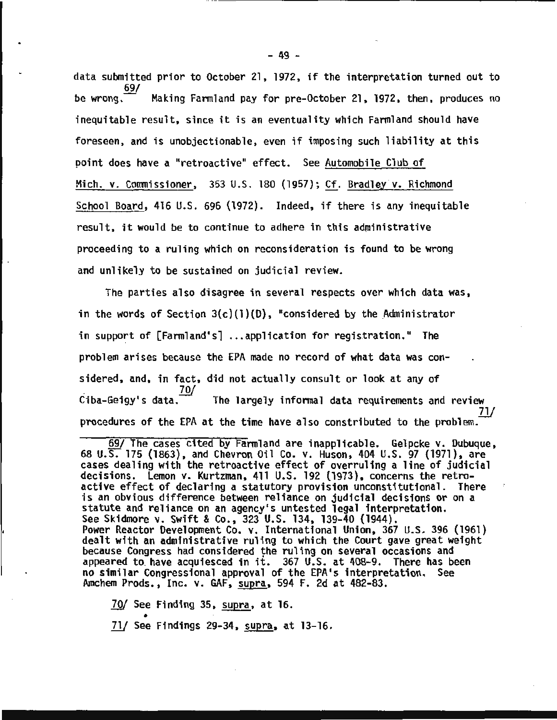data submitted prior to October 21, 1972, if the interpretation turned out to  $rac{69}{60}$ Making Farmland pay for pre-October 21, 1972, then, produces no inequitable result, since it is an eventuality which Farmland should have foreseen, and is unobjectionable, even if imposing such liability at this point does have a "retroactive" effect. See Automobile Club of Mich. v. Commissioner, 353 U.S. 180 (1957); Cf. Bradley v. Richmond School Board, 416 U.S. 696 (1972). Indeed, if there is any inequitable result, it would be to continue to adhere in this administrative proceeding to a ruling which on reconsideration is found to be wrong and unlikely to be sustained on judicial review.

The parties also disagree in several respects over which data was, in the words of Section  $3(c)(1)(D)$ , "considered by the Administrator in support of [Farmland's] ...application for registration." The problem arises because the EPA made no record of what data was considered, and, in fact, did not actually consult or look at any of<br>. 70/<br>Ciba-Geigy's data. The largely informal data requirements and review . *?11*  procedures of the EPA at the time have also constributed to the problem.

<sup>~</sup>The cases cited by Farmland are inapplicable. Gelpcke v. Dubuque, 68 U.S. 175 (1863), and Chevron Oil Co. v. Huson, 404 U.S. 97 (1971), are cases dealing with the retroactive effect of overruling a line of judicial decisions. Lemon v. Kurtzman, 411 U.S. 192 (1973), concerns the retroactive effect of declaring a statutory provision unconstitutional. There is an obvious difference between reliance on judicial decisions or on a statute and reliance on an agency's untested legal interpretation.<br>See Skidmore v. Swift & Co., 323 U.S. 134, 139-40 (1944). Power Reactor Development Co. v. International Union, 367 U.S. 396 (1961)<br>dealt with an administrative ruling to which the Court gave great weight<br>because Congress had considered the ruling on several occasions and appeared to. have acquiesced in it. 367 U.S. at 408-9. There has been no similar Congressional approval of the EPA•s interpretation. See Amchem Prods., Inc. v. GAF, supra, 594 F. 2d at 482-83.

*70/ See Finding 35, supra, at 16.* 

• *1!1* See Findings 29-34, supra, at 13-16.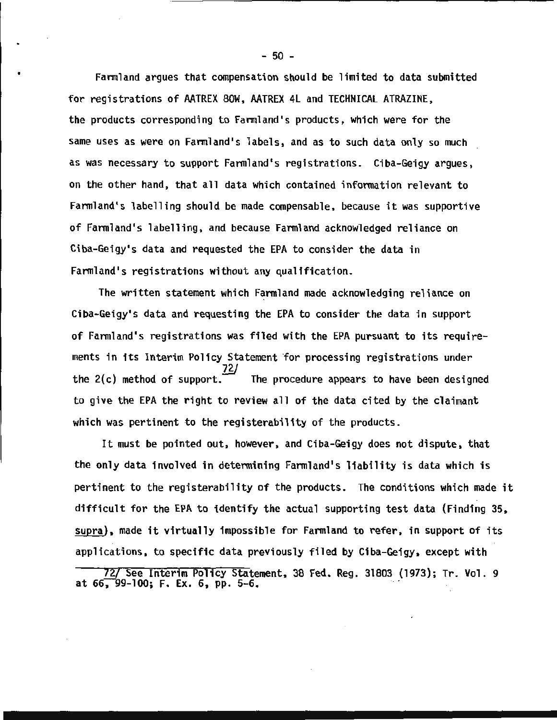Farmland argues that compensation should be limited to data submitted for registrations of AATREX SOW, AATREX 4l and TECHNICAL ATRAZINE, the products corresponding to Farmland's products, which were for the same uses as were on Farmland's labels, and as to such data only so much as was necessary to support Farmland's registrations. Ciba-Geigy argues, on the other hand, that all data which contained information relevant to Farmland's labelling should be made compensable, because it was supportive of Farmland's labelling, and because Farmland acknowledged reliance on Ciba-Geigy•s data and requested the EPA to consider the data in Farmland's registrations without any qualification.

The written statement which Farmland made acknowledging reliance on Ciba-Geigy's data and requesting the EPA to consider the data in support of Farmland's registrations was filed with the EPA pursuant to its requirements in its Interim Policy Statement for processing registrations under the  $2(c)$  method of support. The procedure appears to have been designed to give the EPA the right to review all of the data cited by the claimant which was pertinent to the registerability of the products.

It must be pointed out, however, and Ciba-Geigy does not dispute, that the only data involved in determining Farmland's liability is data which is pertinent to the registerability of the products. The conditions which made it difficult for the EPA to identify the actual supporting test data (Finding 35, supra), made it virtually impossible for Farmland to refer, in support of its applications, to specific data previously filed by Ciba-Geigy, except with

<sup>72/</sup> See Interim Policy Statement, 38 Fed. Reg. 31803 (1973); Tr. Vol. 9 at 66, 99-100; F. Ex. 6, pp. 5-6.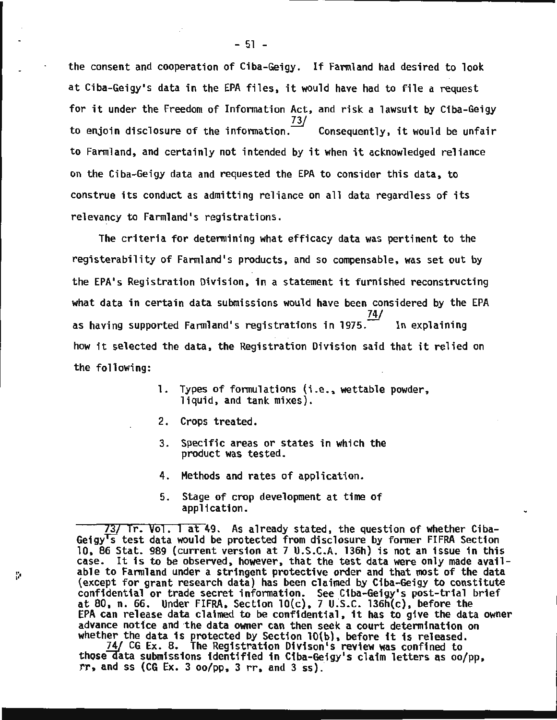the consent and cooperation of Ciba-Geigy. If Farmland had desired to look at Ciba-Geigy's data in the EPA files, it would have had to file a request for it under the Freedom of Information Act, and risk a lawsuit by Ciba-Geigy *?.11*  to enjoin disclosure of the information.  $\sim$  Consequently, it would be unfair to Farmland, and certainly not intended by it when it acknowledged reliance on the Ciba-Geigy data and requested the EPA to consider this data, to construe its conduct as admitting reliance on all data regardless of its relevancy to Farmland's registrations.

The criteria for determining what efficacy data was pertinent to the registerability of Farmland's products, and so compensable, was set out by the EPA's Registration Division, in a statement it furnished reconstructing what data in certain data submissions would have been considered by the EPA 74/ as having supported Farmland's registrations in 1975. In explaining how it selected the data, the Registration Division said that it relied on the following:

- 1. Types of formulations (i.e., wettable powder, liquid, and tank mixes).
- 2. Crops treated.

ø

- 3. Specific areas or states in which the product was tested.
- 4. Methods and rates of application.
- 5. Stage of crop development at time of application.

737 Tr. Vol. l at 49. As already stated, the question of whether Ciba-Geigy<sup>T</sup>s test data would be protected from disclosure by former FIFRA Section 10, 86 Stat. 989 (current version at 7 U.S.C.A. 136h) is not an issue in this case. It is to be observed, however, that the test data were only made available to Farmland under a stringent protective order and that most of the data (except for grant research data) has been claimed by Ciba-Geigy to constitute confidential or trade secret information. See Ciba-Geigy's post-trial brief at 80, n.  $66$ . Under FIFRA, Section  $10(c)$ , 7 U.S.C. 136h(c), before the EPA can release data claimed to be confidential, it has to give the data owner advance notice and the data owner can then seek a court determination on whether the data is protected by Section lO(b), before it is released.

74/ CG Ex. 8. The Registration Oivison's review was confined to those data submissions identified in Ciba-Geigy's claim letters as oo/pp,  $rr$ , and ss (CG Ex. 3  $oo$ /pp, 3  $rr$ , and 3  $ss$ ).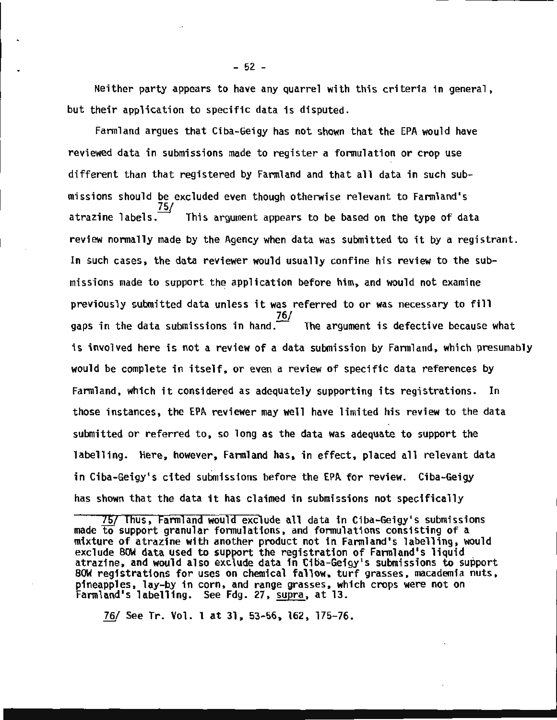Neither party appears to have any quarrel with this criteria in general, but their application to specific data is disputed.

Farmland argues that Ciba-Geigy has not shown that the EPA would have reviewed data in submissions made to register a formulation or crop use different than that registered by Farmland and that all data in such submissions should be excluded even though otherwise relevant to Farmland's atrazine labels.<sup>75/</sup> This argument appears to be based on the type of data review normally made by the Agency when data was submitted to it by a registrant. In such cases, the data reviewer would usually confine his review to the submissions made to support the application before him, and would not examine previously submitted data unless it was referred to or was necessary to fill 76/ gaps in the data submissions in hand. $\overline{\phantom{a}}$  The argument is defective because what is involved here is not a review of a data submission by Farmland, which presumably would be complete in itself, or even a review of specific data references by Farmland, which it considered as adequately supporting its registrations. In those instances, the EPA reviewer may well have limited his review to the data submitted or referred to, so long as the data was adequate to support the labelling. Here, however, Farmland has, in effect, placed all relevant data in Ciba-Geigy's cited submissions before the EPA for review. Ciba-Geigy has shown that the data it has claimed in submissions not specifically

75/ Thus, Farmland would exclude all data in Ciba-Geigy's submissions made to support granular formulations, and formulations consisting of a mixture of atrazine with another product not in Farmland's labelling, would exclude SOW data used to support the registration of Farmland's liquid atrazine, and would also exclude data in Ciba-Geigy's submissions to support SOW registrations for uses on chemical fallow, turf grasses, macademia nuts, pineapples, lay-by in corn, and range grasses, which crops were not on Farmland's labelling. See Fdg. 27, supra, at 13.

*1§/* See Tr. Vol. 1 at 31, 53-56, 162, 175-76.

 $-52 -$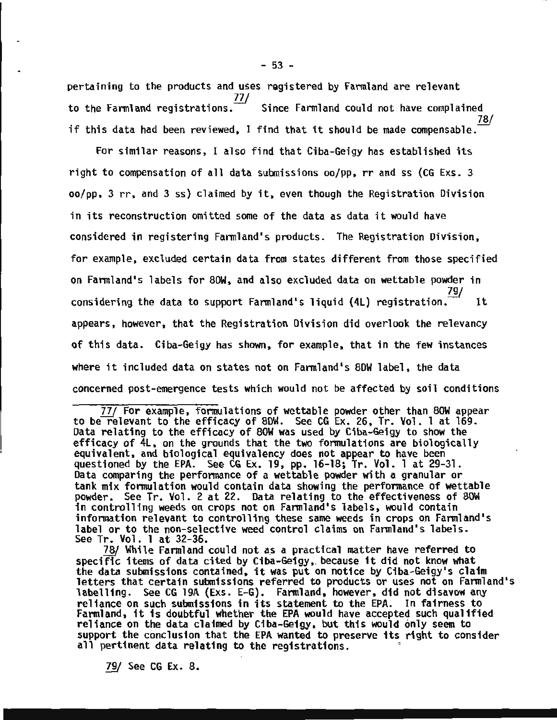pertaining to the products and uses registered by Farmland are relevant to the Farmland registrations.<sup>77/</sup> Since Farmland could not have complained 78/ if this data had been reviewed, I find that it should be made compensable.

For similar reasons, I also find that Ciba-Geigy has established its right to compensation of all data submissions oo/pp, rr and ss (CG Exs. 3 oo/pp, 3 rr, and 3 ss) claimed by it, even though the Registration Division in its reconstruction omitted some of the data as data it would have considered in registering Farmland's products. The Registration Division, for example, excluded certain data from states different from those specified on Farmland's labels for SOW, and also excluded data on wettable powder in considering the data to support Farmland's liquid (4L) registration.  $\frac{1}{100}$  It appears, however, that the Registration Division did overlook the relevancy of this data. Ciba-Geigy has shown, for example, that in the few instances where it included data on states not on Farmland's SOW label, the data concerned post-emergence tests which would not be affected by soil conditions

*Z1f* For example, formulations of wettable powder other than SOW appear to be relevant to the efficacy of SOW. See CG Ex. 26, Tr. Vol. 1 at 169. Data relating to the efficacy of SOW was used by Ciba-Geigy to show the efficacy of 4L, on the grounds that the two formulations are biologically equivalent, and biological equivalency does not appear to have been questioned by the EPA. See CG Ex. 19, pp. 16-lS; Tr. Vol. 1 at 29-31. Data comparing the performance of a wettable powder with a granular or tank mix formulation would contain data showing the performance of wettable powder. See Tr. Vol. 2 at 22. Data relating to the effectiveness of SOW in controlling weeds on crops not on Farmland's labels, would contain infonnation relevant to controlling these same weeds in crops on Farmland's label or to the non-selective weed control claims on Farmland's labels. See Tr. Vol. 1 at 32-36.

78/ While Farmland could not as a practical matter have referred to specific items of data cited by Ciba-Geigy,. because it did not know what the data submissions contained, it was put on notice by Ciba-Geigy's claim letters that certain submissions referred to products or uses not on Farmland's labelling. See CG 19A (Exs. E-G}. Farmland, however, did not disavow any reliance on such submissions in its statement to the EPA. In fairness to<br>Farmland, it is doubtful whether the EPA would have accepted such qualified reliance on the data claimed by Ciba-Geigy, but this would only seem to support the conclusion that the EPA wanted to preserve its right to consider all pertinent data relating to the registrations.

79/ See CG Ex. 8.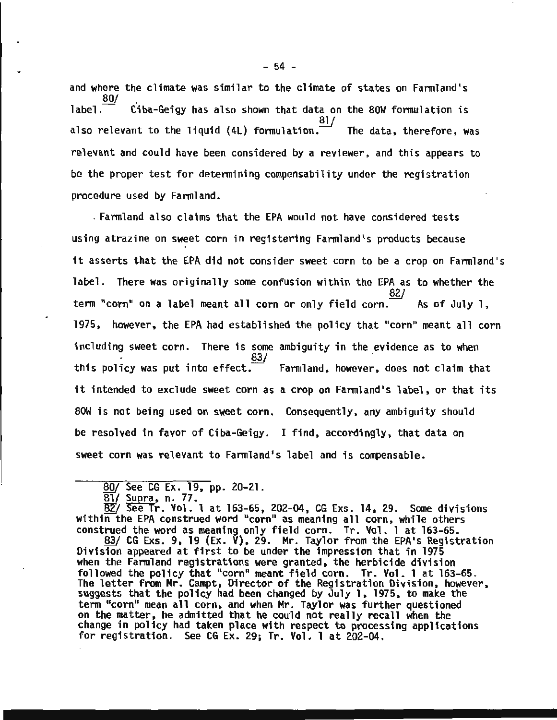and where the climate was similar to the climate of states on Farmland's 80/  $\overline{\phantom{a}}$  . Ciba-Geigy has also shown that data on the 80W formulation is also relevant to the liquid  $(4L)$  formulation. The data, therefore, was relevant and could have been considered by a reviewer, and this appears to be the proper test for determining compensability under the registration procedure used by Farmland.

. Farmland also claims that the EPA would not have considered tests using atrazine on sweet corn in registering Farmland's products because it asserts that the EPA did not consider sweet corn to be a crop on Farmland's label. There was originally some confusion within the EPA as to whether the  $82/$ term "corn" on a label meant all corn or only field corn.  $A$  As of July 1, 1975, however, the EPA had established the policy that "corn" meant all corn including sweet corn. There is some ambiguity in the evidence as to when  $83/$ this policy was put into effect.  $\overline{\phantom{a}}$  Farmland, however, does not claim that it intended to exclude sweet corn as a crop on Farmland's label, or that its 80W is not being used on sweet corn. Consequently, any ambiguity should be resolved in favor of Ciba-Geigy. I find, accordingly, that data on sweet corn was relevant to Farmland's label and is compensable.

B2/ See Tr. Vol. 1 at 163-65, 202-04, CG Exs. 14, 29. Some divisions within the EPA construed word "corn" as meaning all corn, while others<br>construed the word as meaning only field corn. Tr. Vol. 1 at 163-65.

<u>83</u>/ CG Exs. 9, 19 (Ex.  $\check{V}$ ), 29. Mr. Taylor from the EPA's Registration Division appeared at first to be under the impression that in 1975 when the Farmland registrations were granted, the herbicide division followed the policy that "corn" meant field corn. Tr. Vol. 1 at 163-65. The letter from Mr. Campt, Director of the Registration Division, however, suggests that the policy had been changed by July 1, 1975, to make the term "corn" mean all corn, and when Mr. Taylor was further questioned on the matter, he admitted that he could not really recall when the change in policy had taken place with respect to processing applications for registration. See CG Ex. 29; Tr. Vol. 1 at 202-04.

 $\frac{80}{81}$  See CG Ex. 19, pp. 20-21.<br>81/ Supra, n. 77.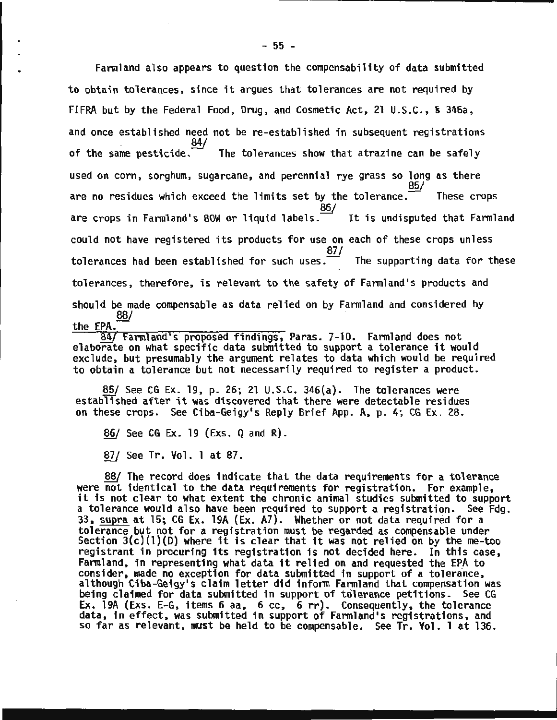Farmland also appears to question the compensability of data submitted to obtain tolerances, since it argues that tolerances are not required by FIFRA but by the Federal Food, Drug, and Cosmetic Act, 21 U.S.C., S 346a, and once established need not be re-established in subsequent registrations .<br>84/<br>of the same pesticide. The tolerances show that atrazine can be safely The tolerances show that atrazine can be safely used on corn, sorghum, sugarcane, and perennial rye grass so long as there  $85/$ are no residues which exceed the limits set by the tolerance.  $\overline{\phantom{a}}$  These crops 86/ are crops in Farmland's 80W or liquid labels. $\overline{\phantom{a}}$  It is undisputed that Farmland could not have registered its products for use on each of these crops unless 87/ tolerances had been established for such uses. $\overline{\phantom{a}}$  The supporting data for these tolerances, therefore, is relevant to the safety of Farmland's products and should be made compensable as data relied on by Farmland and considered by 88/ the EPA.-

84/ Farmland's proposed findings, Paras. 7-10. Farmland does not elaborate on what specific data submitted to support a tolerance it would exclude, but presumably the argument relates to data which would be required to obtain a tolerance but not necessarily required to register a product.

85/ See CG Ex. 19, p. 26; 21 U.S.C. 346(a). The tolerances were established after it was discovered that there were detectable residues on these crops. See Ciba-Geigy•s Reply Brief App. A, p. 4; CG Ex. 28.

86/ See CG Ex. 19 (Exs. Q and R).

*§ZI* See Tr. Vol. 1 at 87.

88/ The record does indicate that the data requirements for a tolerance were not identical to the data requirements for registration. For example,  $it$  is not clear to what extent the chronic animal studies submitted to support a tolerance would also have been required to support a registration. See Fdg. 33, supra at 15; CG Ex. 19A (Ex. A7). Whether or not data required for a tolerance but not for a registration must be regarded as compensable under Section  $3(c)(1)(D)$  where it is clear that it was not relied on by the me-too registrant in procuring its registration is not decided here. In this case, Farmland, in representing what data it relied on and requested the EPA to consider, made no exception for data submitted in support of a tolerance, although Ciba-Geigy's claim letter did inform Farmland that compensation was being claimed for data submitted in support of tolerance petitions. See CG Ex. 19A (Exs. E-G, items 6 aa, 6 cc, 6 rr). Consequently, the tolerance data, in effect, was submitted in support of Farmland's registrations, and so far as relevant, must be held to be compensable. See Tr. Vol. 1 at 136.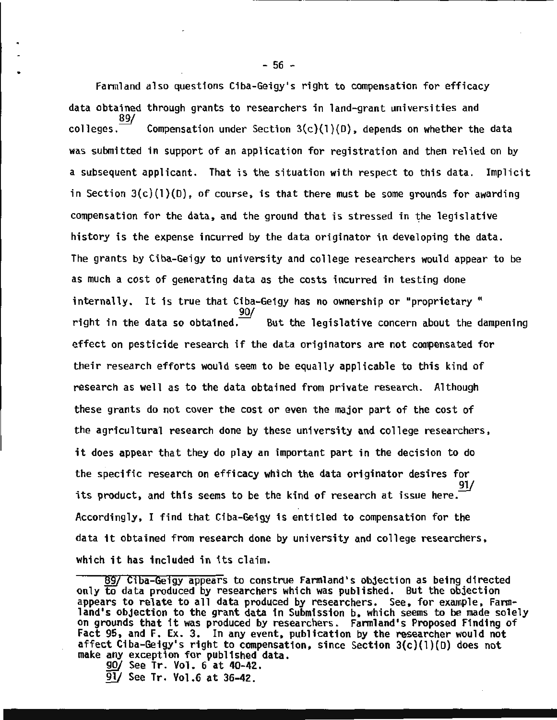Farmland also questions Ciba-Geigy's right to compensation for efficacy data obtained through grants to researchers in land-grant universities and 89/ colleges.  $\overline{\hspace{2.1mm}}$  Compensation under Section 3(c)(1)(D), depends on whether the data was submitted in support of an application for registration and then relied on by a subsequent applicant. That is the situation with respect to this data. Implicit in Section  $3(c)(1)(D)$ , of course, is that there must be some grounds for awarding compensation for the data, and the ground that is stressed in the legislative history is the expense incurred by the data originator in developing the data. The grants by Ciba-Geigy to university and college researchers would appear to be as much a cost of generating data as the costs incurred in testing done internally. It is true that Ciba-Geigy has no ownership or "proprietary " right in the data so obtained. But the legislative concern about the dampening effect on pesticide research if the data originators are not compensated for their research efforts would seem to be equally applicable to this kind of research as well as to the data obtained from private research. Although these grants do not cover the cost or even the major part of the cost of the agricultural research done by these university and college researchers, it does appear that they do play an important part in the decision to do the specific research on efficacy which the data originator desires for its product, and this seems to be the kind of research at issue here. Accordingly, I find that Ciba-Geigy is entitled to compensation for the data it obtained from research done by university and college researchers, which it has included in its claim.

- 
- 91/ See Tr. Vol.6 at 36-42.

 $-56 -$ 

<sup>89/</sup> Ciba-Geigy appears to construe Farmland's objection as being directed only to data produced by researchers which was published. But the objection appears to relate to all data produced by researchers. See, for example, Farmland's objection to the grant data in Submission b, which seems to be made solely on grounds that it was produced by researchers. Farmland's Proposed Finding of Fact 95, and F. Ex. 3. In any event, publication by the researcher would not affect Ciba-Geigy's right to compensation, since Section 3(c)(l)(D) does not make any exception for published data.<br> $\frac{90}{ }$  See Tr. Vol. 6 at 40-42.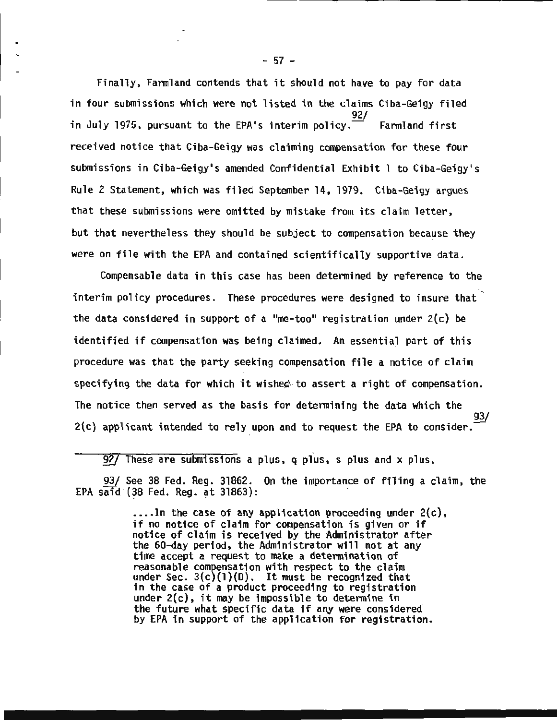Finally, Fannland contends that it should not have to pay for data in four submissions which were not listed in the claims Ciba-Geigy filed 92/ in July 1975, pursuant to the EPA's interim policy.  $\overline{z}$  Farmland first received notice that Ciba-Geigy was claiming compensation for these four submissions in Ciba-Geigy's amended Confidential Exhibit 1 to Ciba-Geigy's Rule 2 Statement, which was filed September 14, 1979. Ciba-Geigy argues that these submissions were omitted by mistake from its claim letter, but that nevertheless they should be subject to compensation because they were on file with the EPA and contained scientifically supportive data.

Compensable data in this case has been detennined by reference to the interim policy procedures. These procedures were designed to insure that the data considered in support of a "me-too" registration under  $2(c)$  be identified if compensation was being claimed. An essential part of this procedure was that the party seeking compensation file a notice of claim specifying the data for which it wished to assert a right of compensation. The notice then served as the basis for determining the data which the 93/  $2(c)$  applicant intended to rely upon and to request the EPA to consider.

92/ These are submissions a plus, q plus, s plus and x plus.

93/ See 38 Fed. Reg. 31862. On the importance of filing a claim, the EPA said (38 Fed. Reg.  $at$  31863):

> $\ldots$ . In the case of any application proceeding under 2(c), if no notice of claim for compensation is given or if notice of claim is received by the Administrator after the 60-day period, the Administrator will not at any time accept a request to make a determination of reasonable compensation with respect to the claim under Sec.  $3(c)(1)(D)$ . It must be recognized that<br>in the case of a product proceeding to registration under  $2(c)$ , it may be impossible to determine in the future what specific data if any were considered by EPA in support of the application for registration.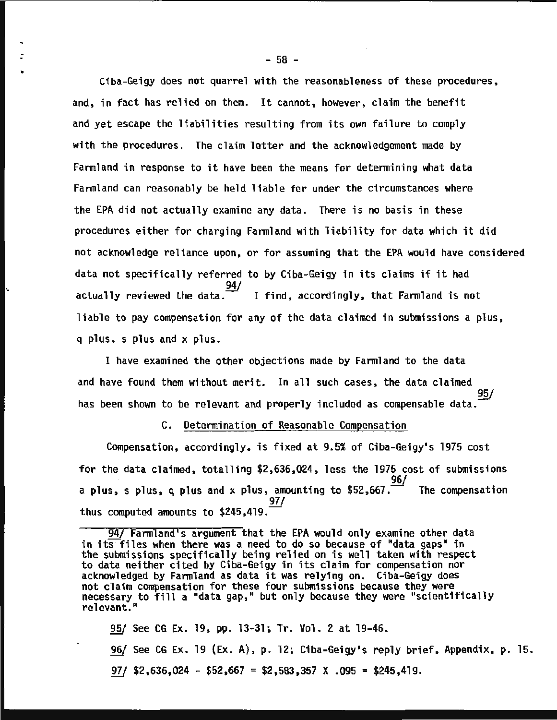Ciba-Geigy does not quarrel with the reasonableness of these procedures, and, in fact has relied on them. It cannot, however, claim the benefit and yet escape the liabilities resulting from its own failure to comply with the procedures. The claim letter and the acknowledgement made by Farmland in response to it have been the means for determining what data Farmland can reasonably be held liable for under the circumstances where the EPA did not actually examine any data. There is no basis in these procedures either for charging Farmland with liability for data which it did not acknowledge reliance upon, or for assuming that the EPA would have considered data not specifically referred to by Ciba-Geigy in its claims if it had 94/ actually reviewed the data. $\frac{1}{2}$  I find, accordingly, that Farmland is not liable to pay compensation for any of the data claimed in submissions a plus, q plus, s plus and x plus.

I have examined the other objections made by Farmland to the data and have found them without merit. In all such cases, the data claimed 95/ has been shown to be relevant and properly included as compensable data.

·.

#### C. Determination of Reasonable Compensation

Compensation, accordingly, is fixed at 9.5% of Ciba-Geigy's 1975 cost for the data claimed, totalling \$2,636,024, less the 1975 cost of submissions a plus, s plus, q plus and x plus, amounting to \$52,667. The compensation thus computed amounts to \$245,419.

95/ See CG Ex. 19, pp. 13-31; Tr. Vol. 2 at 19-46. ~ See CG Ex. 19 (Ex. A), p. 12; Ciba-Geigy's reply brief, Appendix, p. 15. *W* \$2,636,024 - \$52,667 = \$2,583,357 X .095 = \$245,419.

g47 Farmland's argument that the EPA would only examine other data in its files when there was a need to do so because of "data gaps" in the submissions specifically being relied on is well taken with respect to data neither cited by Ciba-Geigy in its claim for compensation nor acknowledged by Farmland as data it.was relying on. Ciba-Geigy does not claim compensation for these four submissions because they were necessary to fill a "data gap," but only because they were "scientifically relevant."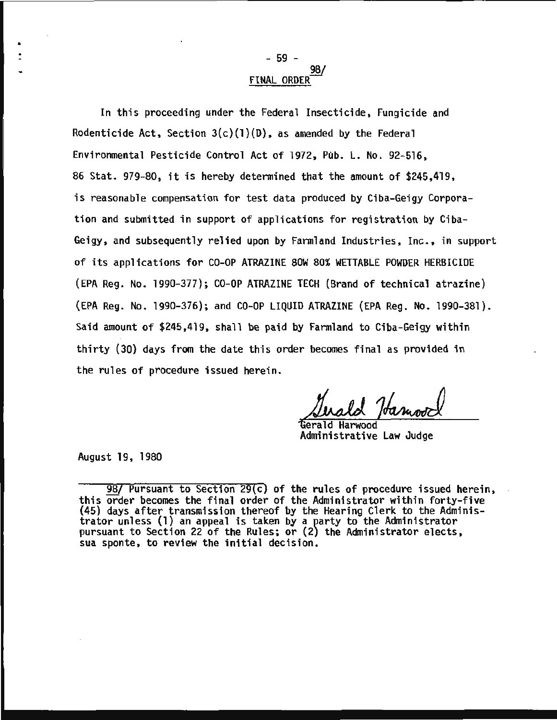## - 59 - 98/<br>FINAL ORDER

In this proceeding under the Federal Insecticide, Fungicide and Rodenticide Act, Section  $3(c)(1)(D)$ , as amended by the Federal Environmental Pesticide Control Act of 1972, Pub. L. No. 92-516, 86 Stat. 979-80, it is hereby determined that the amount of \$245,419, is reasonable compensation for test data produced by Ciba-Geigy Corporation and submitted in support of applications for registration by Ciba-Geigy, and subsequently relied upon by Farmland Industries, Inc., in support of its applications for CO-OP ATRAZINE SOW 80% WETTABLE POWDER HERBICIDE (EPA Reg. No. 1990-377); CO-OP ATRAZINE TECH (Brand of technical atrazine) (EPA Reg. No. 1990-376); and CO-OP LIQUID ATRAZINE (EPA Reg. No. 1990-381). Said amount of \$245,419, shall be paid by Farmland to Ciba-Geigy within thirty (30) days from the date this order becomes final as provided in the rules of procedure issued herein.

'Gerald Harwood Administrative Law Judge

August 19, 1980

•

<sup>98/</sup> Pursuant to Section 29(c) of the rules of procedure issued herein, this order becomes the final order of the Administrator within forty-five (45) days after transmission thereof by the Hearing Clerk to the Administrator unless (1) an appeal is taken by a party to the Administrator pursuant to Section 22 of the Rules; or (2) the Administrator elects, sua sponte, to review the initial decision.